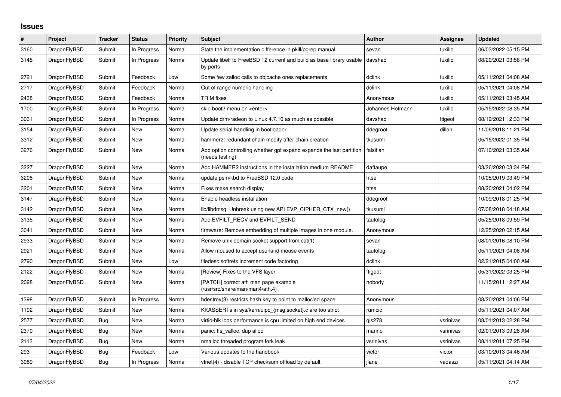## **Issues**

| $\pmb{\#}$ | Project      | <b>Tracker</b> | <b>Status</b> | Priority | <b>Subject</b>                                                                          | <b>Author</b>    | Assignee  | <b>Updated</b>      |
|------------|--------------|----------------|---------------|----------|-----------------------------------------------------------------------------------------|------------------|-----------|---------------------|
| 3160       | DragonFlyBSD | Submit         | In Progress   | Normal   | State the implementation difference in pkill/pgrep manual                               | sevan            | tuxillo   | 06/03/2022 05:15 PM |
| 3145       | DragonFlyBSD | Submit         | In Progress   | Normal   | Update libelf to FreeBSD 12 current and build as base library usable<br>by ports        | davshao          | tuxillo   | 08/20/2021 03:58 PM |
| 2721       | DragonFlyBSD | Submit         | Feedback      | Low      | Some few zalloc calls to objcache ones replacements                                     | dclink           | tuxillo   | 05/11/2021 04:08 AM |
| 2717       | DragonFlyBSD | Submit         | Feedback      | Normal   | Out of range numeric handling                                                           | dclink           | tuxillo   | 05/11/2021 04:08 AM |
| 2438       | DragonFlyBSD | Submit         | Feedback      | Normal   | <b>TRIM</b> fixes                                                                       | Anonymous        | tuxillo   | 05/11/2021 03:45 AM |
| 1700       | DragonFlyBSD | Submit         | In Progress   | Normal   | skip boot2 menu on <enter></enter>                                                      | Johannes.Hofmann | tuxillo   | 05/15/2022 08:35 AM |
| 3031       | DragonFlyBSD | Submit         | In Progress   | Normal   | Update drm/radeon to Linux 4.7.10 as much as possible                                   | davshao          | ftigeot   | 08/19/2021 12:33 PM |
| 3154       | DragonFlyBSD | Submit         | <b>New</b>    | Normal   | Update serial handling in bootloader                                                    | ddegroot         | dillon    | 11/06/2018 11:21 PM |
| 3312       | DragonFlyBSD | Submit         | <b>New</b>    | Normal   | hammer2: redundant chain modify after chain creation                                    | tkusumi          |           | 05/15/2022 01:35 PM |
| 3276       | DragonFlyBSD | Submit         | New           | Normal   | Add option controlling whether gpt expand expands the last partition<br>(needs testing) | falsifian        |           | 07/10/2021 03:35 AM |
| 3227       | DragonFlyBSD | Submit         | <b>New</b>    | Normal   | Add HAMMER2 instructions in the installation medium README                              | daftaupe         |           | 03/26/2020 03:34 PM |
| 3206       | DragonFlyBSD | Submit         | <b>New</b>    | Normal   | update psm/kbd to FreeBSD 12.0 code                                                     | htse             |           | 10/05/2019 03:49 PM |
| 3201       | DragonFlyBSD | Submit         | <b>New</b>    | Normal   | Fixes make search display                                                               | htse             |           | 08/20/2021 04:02 PM |
| 3147       | DragonFlyBSD | Submit         | <b>New</b>    | Normal   | Enable headless installation                                                            | ddegroot         |           | 10/09/2018 01:25 PM |
| 3142       | DragonFlyBSD | Submit         | <b>New</b>    | Normal   | lib/libdmsg: Unbreak using new API EVP CIPHER CTX new()                                 | tkusumi          |           | 07/08/2018 04:18 AM |
| 3135       | DragonFlyBSD | Submit         | <b>New</b>    | Normal   | Add EVFILT RECV and EVFILT SEND                                                         | tautolog         |           | 05/25/2018 09:59 PM |
| 3041       | DragonFlyBSD | Submit         | <b>New</b>    | Normal   | firmware: Remove embedding of multiple images in one module.                            | Anonymous        |           | 12/25/2020 02:15 AM |
| 2933       | DragonFlyBSD | Submit         | <b>New</b>    | Normal   | Remove unix domain socket support from cat(1)                                           | sevan            |           | 08/01/2016 08:10 PM |
| 2921       | DragonFlyBSD | Submit         | <b>New</b>    | Normal   | Allow moused to accept userland mouse events                                            | tautolog         |           | 05/11/2021 04:08 AM |
| 2790       | DragonFlyBSD | Submit         | New           | Low      | filedesc softrefs increment code factoring                                              | dclink           |           | 02/21/2015 04:00 AM |
| 2122       | DragonFlyBSD | Submit         | <b>New</b>    | Normal   | [Review] Fixes to the VFS layer                                                         | ftigeot          |           | 05/31/2022 03:25 PM |
| 2098       | DragonFlyBSD | Submit         | New           | Normal   | [PATCH] correct ath man page example<br>(/usr/src/share/man/man4/ath.4)                 | nobody           |           | 11/15/2011 12:27 AM |
| 1398       | DragonFlyBSD | Submit         | In Progress   | Normal   | hdestroy(3) restricts hash key to point to malloc'ed space                              | Anonymous        |           | 08/20/2021 04:06 PM |
| 1192       | DragonFlyBSD | Submit         | New           | Normal   | KKASSERTs in sys/kern/uipc {msg,socket}.c are too strict                                | rumcic           |           | 05/11/2021 04:07 AM |
| 2577       | DragonFlyBSD | Bug            | New           | Normal   | virtio-blk iops performance is cpu limited on high end devices                          | gis278           | vsrinivas | 08/01/2013 02:28 PM |
| 2370       | DragonFlyBSD | Bug            | <b>New</b>    | Normal   | panic: ffs valloc: dup alloc                                                            | marino           | vsrinivas | 02/01/2013 09:28 AM |
| 2113       | DragonFlyBSD | Bug            | New           | Normal   | nmalloc threaded program fork leak                                                      | vsrinivas        | vsrinivas | 08/11/2011 07:25 PM |
| 293        | DragonFlyBSD | Bug            | Feedback      | Low      | Various updates to the handbook                                                         | victor           | victor    | 03/10/2013 04:46 AM |
| 3089       | DragonFlyBSD | <b>Bug</b>     | In Progress   | Normal   | vtnet(4) - disable TCP checksum offload by default                                      | ilane            | vadaszi   | 05/11/2021 04:14 AM |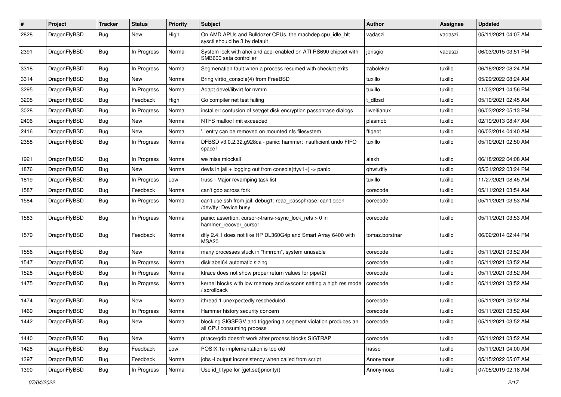| #    | Project      | <b>Tracker</b> | <b>Status</b> | <b>Priority</b> | Subject                                                                                      | Author         | Assignee | <b>Updated</b>      |
|------|--------------|----------------|---------------|-----------------|----------------------------------------------------------------------------------------------|----------------|----------|---------------------|
| 2828 | DragonFlyBSD | <b>Bug</b>     | New           | High            | On AMD APUs and Bulldozer CPUs, the machdep.cpu_idle_hlt<br>sysctl should be 3 by default    | vadaszi        | vadaszi  | 05/11/2021 04:07 AM |
| 2391 | DragonFlyBSD | Bug            | In Progress   | Normal          | System lock with ahci and acpi enabled on ATI RS690 chipset with<br>SMB600 sata controller   | jorisgio       | vadaszi  | 06/03/2015 03:51 PM |
| 3318 | DragonFlyBSD | Bug            | In Progress   | Normal          | Segmenation fault when a process resumed with checkpt exits                                  | zabolekar      | tuxillo  | 06/18/2022 08:24 AM |
| 3314 | DragonFlyBSD | <b>Bug</b>     | New           | Normal          | Bring virtio console(4) from FreeBSD                                                         | tuxillo        | tuxillo  | 05/29/2022 08:24 AM |
| 3295 | DragonFlyBSD | <b>Bug</b>     | In Progress   | Normal          | Adapt devel/libvirt for nvmm                                                                 | tuxillo        | tuxillo  | 11/03/2021 04:56 PM |
| 3205 | DragonFlyBSD | <b>Bug</b>     | Feedback      | High            | Go compiler net test failing                                                                 | t dfbsd        | tuxillo  | 05/10/2021 02:45 AM |
| 3028 | DragonFlyBSD | <b>Bug</b>     | In Progress   | Normal          | installer: confusion of set/get disk encryption passphrase dialogs                           | liweitianux    | tuxillo  | 06/03/2022 05:13 PM |
| 2496 | DragonFlyBSD | <b>Bug</b>     | New           | Normal          | NTFS malloc limit exceeded                                                                   | plasmob        | tuxillo  | 02/19/2013 08:47 AM |
| 2416 | DragonFlyBSD | <b>Bug</b>     | New           | Normal          | ".' entry can be removed on mounted nfs filesystem                                           | ftigeot        | tuxillo  | 06/03/2014 04:40 AM |
| 2358 | DragonFlyBSD | <b>Bug</b>     | In Progress   | Normal          | DFBSD v3.0.2.32.g928ca - panic: hammer: insufficient undo FIFO<br>space!                     | tuxillo        | tuxillo  | 05/10/2021 02:50 AM |
| 1921 | DragonFlyBSD | <b>Bug</b>     | In Progress   | Normal          | we miss mlockall                                                                             | alexh          | tuxillo  | 06/18/2022 04:08 AM |
| 1876 | DragonFlyBSD | <b>Bug</b>     | <b>New</b>    | Normal          | devfs in jail + logging out from console(ttyv1+) -> panic                                    | qhwt.dfly      | tuxillo  | 05/31/2022 03:24 PM |
| 1819 | DragonFlyBSD | <b>Bug</b>     | In Progress   | Low             | truss - Major revamping task list                                                            | tuxillo        | tuxillo  | 11/27/2021 08:45 AM |
| 1587 | DragonFlyBSD | <b>Bug</b>     | Feedback      | Normal          | can't gdb across fork                                                                        | corecode       | tuxillo  | 05/11/2021 03:54 AM |
| 1584 | DragonFlyBSD | <b>Bug</b>     | In Progress   | Normal          | can't use ssh from jail: debug1: read_passphrase: can't open<br>/dev/tty: Device busy        | corecode       | tuxillo  | 05/11/2021 03:53 AM |
| 1583 | DragonFlyBSD | <b>Bug</b>     | In Progress   | Normal          | panic: assertion: cursor->trans->sync_lock_refs > 0 in<br>hammer_recover_cursor              | corecode       | tuxillo  | 05/11/2021 03:53 AM |
| 1579 | DragonFlyBSD | <b>Bug</b>     | Feedback      | Normal          | dfly 2.4.1 does not like HP DL360G4p and Smart Array 6400 with<br>MSA20                      | tomaz.borstnar | tuxillo  | 06/02/2014 02:44 PM |
| 1556 | DragonFlyBSD | <b>Bug</b>     | <b>New</b>    | Normal          | many processes stuck in "hmrrcm", system unusable                                            | corecode       | tuxillo  | 05/11/2021 03:52 AM |
| 1547 | DragonFlyBSD | <b>Bug</b>     | In Progress   | Normal          | disklabel64 automatic sizing                                                                 | corecode       | tuxillo  | 05/11/2021 03:52 AM |
| 1528 | DragonFlyBSD | <b>Bug</b>     | In Progress   | Normal          | ktrace does not show proper return values for pipe(2)                                        | corecode       | tuxillo  | 05/11/2021 03:52 AM |
| 1475 | DragonFlyBSD | <b>Bug</b>     | In Progress   | Normal          | kernel blocks with low memory and syscons setting a high res mode<br>/ scrollback            | corecode       | tuxillo  | 05/11/2021 03:52 AM |
| 1474 | DragonFlyBSD | <b>Bug</b>     | New           | Normal          | ithread 1 unexpectedly rescheduled                                                           | corecode       | tuxillo  | 05/11/2021 03:52 AM |
| 1469 | DragonFlyBSD | Bug            | In Progress   | Normal          | Hammer history security concern                                                              | corecode       | tuxillo  | 05/11/2021 03:52 AM |
| 1442 | DragonFlyBSD | <b>Bug</b>     | New           | Normal          | blocking SIGSEGV and triggering a segment violation produces an<br>all CPU consuming process | corecode       | tuxillo  | 05/11/2021 03:52 AM |
| 1440 | DragonFlyBSD | <b>Bug</b>     | New           | Normal          | ptrace/gdb doesn't work after process blocks SIGTRAP                                         | corecode       | tuxillo  | 05/11/2021 03:52 AM |
| 1428 | DragonFlyBSD | <b>Bug</b>     | Feedback      | Low             | POSIX.1e implementation is too old                                                           | hasso          | tuxillo  | 05/11/2021 04:00 AM |
| 1397 | DragonFlyBSD | <b>Bug</b>     | Feedback      | Normal          | jobs -I output inconsistency when called from script                                         | Anonymous      | tuxillo  | 05/15/2022 05:07 AM |
| 1390 | DragonFlyBSD | Bug            | In Progress   | Normal          | Use id_t type for {get,set}priority()                                                        | Anonymous      | tuxillo  | 07/05/2019 02:18 AM |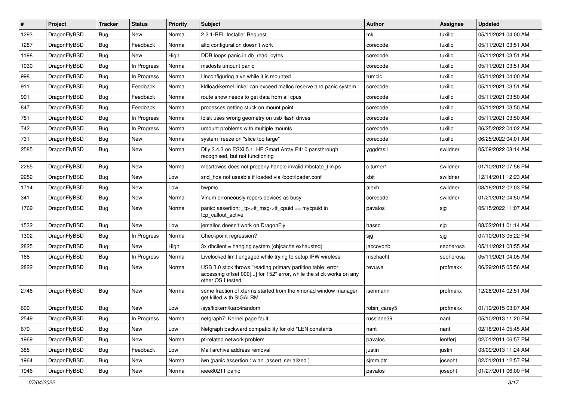| $\vert$ # | Project      | <b>Tracker</b> | <b>Status</b> | <b>Priority</b> | Subject                                                                                                                                                  | <b>Author</b> | Assignee  | <b>Updated</b>      |
|-----------|--------------|----------------|---------------|-----------------|----------------------------------------------------------------------------------------------------------------------------------------------------------|---------------|-----------|---------------------|
| 1293      | DragonFlyBSD | <b>Bug</b>     | New           | Normal          | 2.2.1-REL Installer Request                                                                                                                              | mk            | tuxillo   | 05/11/2021 04:00 AM |
| 1287      | DragonFlyBSD | <b>Bug</b>     | Feedback      | Normal          | altg configuration doesn't work                                                                                                                          | corecode      | tuxillo   | 05/11/2021 03:51 AM |
| 1198      | DragonFlyBSD | <b>Bug</b>     | New           | High            | DDB loops panic in db read bytes                                                                                                                         | corecode      | tuxillo   | 05/11/2021 03:51 AM |
| 1030      | DragonFlyBSD | <b>Bug</b>     | In Progress   | Normal          | msdosfs umount panic                                                                                                                                     | corecode      | tuxillo   | 05/11/2021 03:51 AM |
| 998       | DragonFlyBSD | <b>Bug</b>     | In Progress   | Normal          | Unconfiguring a vn while it is mounted                                                                                                                   | rumcic        | tuxillo   | 05/11/2021 04:00 AM |
| 911       | DragonFlyBSD | <b>Bug</b>     | Feedback      | Normal          | kidload/kernel linker can exceed malloc reserve and panic system                                                                                         | corecode      | tuxillo   | 05/11/2021 03:51 AM |
| 901       | DragonFlyBSD | <b>Bug</b>     | Feedback      | Normal          | route show needs to get data from all cpus                                                                                                               | corecode      | tuxillo   | 05/11/2021 03:50 AM |
| 847       | DragonFlyBSD | <b>Bug</b>     | Feedback      | Normal          | processes getting stuck on mount point                                                                                                                   | corecode      | tuxillo   | 05/11/2021 03:50 AM |
| 781       | DragonFlyBSD | <b>Bug</b>     | In Progress   | Normal          | fdisk uses wrong geometry on usb flash drives                                                                                                            | corecode      | tuxillo   | 05/11/2021 03:50 AM |
| 742       | DragonFlyBSD | Bug            | In Progress   | Normal          | umount problems with multiple mounts                                                                                                                     | corecode      | tuxillo   | 06/25/2022 04:02 AM |
| 731       | DragonFlyBSD | <b>Bug</b>     | New           | Normal          | system freeze on "slice too large"                                                                                                                       | corecode      | tuxillo   | 06/25/2022 04:01 AM |
| 2585      | DragonFlyBSD | <b>Bug</b>     | New           | Normal          | Dfly 3.4.3 on ESXi 5.1, HP Smart Array P410 passthrough<br>recognised, but not functioning                                                               | yggdrasil     | swildner  | 05/09/2022 08:14 AM |
| 2265      | DragonFlyBSD | Bug            | New           | Normal          | mbsrtowcs does not properly handle invalid mbstate t in ps                                                                                               | c.turner1     | swildner  | 01/10/2012 07:56 PM |
| 2252      | DragonFlyBSD | <b>Bug</b>     | New           | Low             | snd_hda not useable if loaded via /boot/loader.conf                                                                                                      | xbit          | swildner  | 12/14/2011 12:23 AM |
| 1714      | DragonFlyBSD | <b>Bug</b>     | New           | Low             | hwpmc                                                                                                                                                    | alexh         | swildner  | 08/18/2012 02:03 PM |
| 341       | DragonFlyBSD | <b>Bug</b>     | New           | Normal          | Vinum erroneously repors devices as busy                                                                                                                 | corecode      | swildner  | 01/21/2012 04:50 AM |
| 1769      | DragonFlyBSD | Bug            | New           | Normal          | panic: assertion: _tp->tt_msg->tt_cpuid == mycpuid in<br>tcp callout active                                                                              | pavalos       | sjg       | 05/15/2022 11:07 AM |
| 1532      | DragonFlyBSD | Bug            | New           | Low             | jemalloc doesn't work on DragonFly                                                                                                                       | hasso         | sjg       | 08/02/2011 01:14 AM |
| 1302      | DragonFlyBSD | Bug            | In Progress   | Normal          | Checkpoint regression?                                                                                                                                   | sjg           | sjg       | 07/10/2013 05:22 PM |
| 2825      | DragonFlyBSD | <b>Bug</b>     | New           | High            | 3x dhclient = hanging system (objcache exhausted)                                                                                                        | jaccovonb     | sepherosa | 05/11/2021 03:55 AM |
| 168       | DragonFlyBSD | <b>Bug</b>     | In Progress   | Normal          | Livelocked limit engaged while trying to setup IPW wireless                                                                                              | mschacht      | sepherosa | 05/11/2021 04:05 AM |
| 2822      | DragonFlyBSD | Bug            | <b>New</b>    | Normal          | USB 3.0 stick throws "reading primary partition table: error<br>accessing offset 000[] for 152" error, while the stick works on any<br>other OS I tested | revuwa        | profmakx  | 06/29/2015 05:56 AM |
| 2746      | DragonFlyBSD | Bug            | <b>New</b>    | Normal          | some fraction of xterms started from the xmonad window manager<br>get killed with SIGALRM                                                                | isenmann      | profmakx  | 12/28/2014 02:51 AM |
| 600       | DragonFlyBSD | <b>Bug</b>     | <b>New</b>    | Low             | /sys/libkern/karc4random                                                                                                                                 | robin_carey5  | profmakx  | 01/19/2015 03:07 AM |
| 2549      | DragonFlyBSD | Bug            | In Progress   | Normal          | netgraph7: Kernel page fault.                                                                                                                            | russiane39    | nant      | 05/10/2013 11:20 PM |
| 679       | DragonFlyBSD | Bug            | <b>New</b>    | Low             | Netgraph backward compatibility for old *LEN constants                                                                                                   | nant          | nant      | 02/18/2014 05:45 AM |
| 1969      | DragonFlyBSD | <b>Bug</b>     | New           | Normal          | pf-related network problem                                                                                                                               | pavalos       | lentferj  | 02/01/2011 06:57 PM |
| 385       | DragonFlyBSD | <b>Bug</b>     | Feedback      | Low             | Mail archive address removal                                                                                                                             | justin        | justin    | 03/09/2013 11:24 AM |
| 1964      | DragonFlyBSD | <b>Bug</b>     | New           | Normal          | iwn (panic assertion : wlan assert serialized)                                                                                                           | sjmm.ptr      | josepht   | 02/01/2011 12:57 PM |
| 1946      | DragonFlyBSD | <b>Bug</b>     | New           | Normal          | ieee80211 panic                                                                                                                                          | pavalos       | josepht   | 01/27/2011 06:00 PM |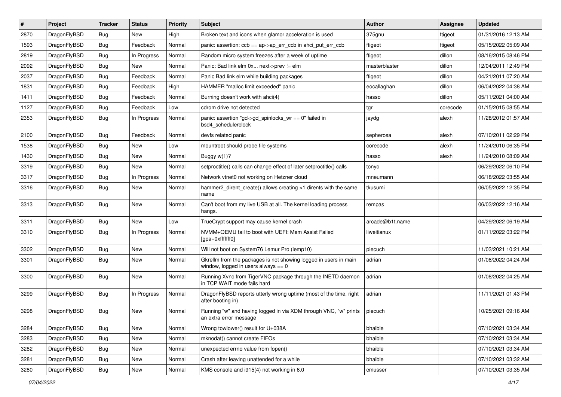| #    | Project      | <b>Tracker</b> | <b>Status</b> | <b>Priority</b> | <b>Subject</b>                                                                                            | <b>Author</b>   | Assignee | <b>Updated</b>      |
|------|--------------|----------------|---------------|-----------------|-----------------------------------------------------------------------------------------------------------|-----------------|----------|---------------------|
| 2870 | DragonFlyBSD | <b>Bug</b>     | New           | High            | Broken text and icons when glamor acceleration is used                                                    | 375gnu          | ftigeot  | 01/31/2016 12:13 AM |
| 1593 | DragonFlyBSD | Bug            | Feedback      | Normal          | panic: assertion: $ccb == ap$ ap- $\geq$ err $ccb$ in ahci put err $ccb$                                  | ftigeot         | ftigeot  | 05/15/2022 05:09 AM |
| 2819 | DragonFlyBSD | <b>Bug</b>     | In Progress   | Normal          | Random micro system freezes after a week of uptime                                                        | ftigeot         | dillon   | 08/16/2015 08:46 PM |
| 2092 | DragonFlyBSD | Bug            | New           | Normal          | Panic: Bad link elm 0x next->prev != elm                                                                  | masterblaster   | dillon   | 12/04/2011 12:49 PM |
| 2037 | DragonFlyBSD | <b>Bug</b>     | Feedback      | Normal          | Panic Bad link elm while building packages                                                                | ftigeot         | dillon   | 04/21/2011 07:20 AM |
| 1831 | DragonFlyBSD | <b>Bug</b>     | Feedback      | High            | HAMMER "malloc limit exceeded" panic                                                                      | eocallaghan     | dillon   | 06/04/2022 04:38 AM |
| 1411 | DragonFlyBSD | Bug            | Feedback      | Normal          | Burning doesn't work with ahci(4)                                                                         | hasso           | dillon   | 05/11/2021 04:00 AM |
| 1127 | DragonFlyBSD | <b>Bug</b>     | Feedback      | Low             | cdrom drive not detected                                                                                  | tgr             | corecode | 01/15/2015 08:55 AM |
| 2353 | DragonFlyBSD | Bug            | In Progress   | Normal          | panic: assertion "gd->gd spinlocks $wr == 0$ " failed in<br>bsd4 schedulerclock                           | jaydg           | alexh    | 11/28/2012 01:57 AM |
| 2100 | DragonFlyBSD | Bug            | Feedback      | Normal          | devfs related panic                                                                                       | sepherosa       | alexh    | 07/10/2011 02:29 PM |
| 1538 | DragonFlyBSD | Bug            | New           | Low             | mountroot should probe file systems                                                                       | corecode        | alexh    | 11/24/2010 06:35 PM |
| 1430 | DragonFlyBSD | <b>Bug</b>     | <b>New</b>    | Normal          | Buggy w(1)?                                                                                               | hasso           | alexh    | 11/24/2010 08:09 AM |
| 3319 | DragonFlyBSD | <b>Bug</b>     | New           | Normal          | setproctitle() calls can change effect of later setproctitle() calls                                      | tonyc           |          | 06/29/2022 06:10 PM |
| 3317 | DragonFlyBSD | Bug            | In Progress   | Normal          | Network vtnet0 not working on Hetzner cloud                                                               | mneumann        |          | 06/18/2022 03:55 AM |
| 3316 | DragonFlyBSD | <b>Bug</b>     | New           | Normal          | hammer2_dirent_create() allows creating >1 dirents with the same<br>name                                  | tkusumi         |          | 06/05/2022 12:35 PM |
| 3313 | DragonFlyBSD | <b>Bug</b>     | New           | Normal          | Can't boot from my live USB at all. The kernel loading process<br>hangs.                                  | rempas          |          | 06/03/2022 12:16 AM |
| 3311 | DragonFlyBSD | Bug            | New           | Low             | TrueCrypt support may cause kernel crash                                                                  | arcade@b1t.name |          | 04/29/2022 06:19 AM |
| 3310 | DragonFlyBSD | Bug            | In Progress   | Normal          | NVMM+QEMU fail to boot with UEFI: Mem Assist Failed<br>[gpa=0xfffffff0]                                   | liweitianux     |          | 01/11/2022 03:22 PM |
| 3302 | DragonFlyBSD | Bug            | <b>New</b>    | Normal          | Will not boot on System76 Lemur Pro (lemp10)                                                              | piecuch         |          | 11/03/2021 10:21 AM |
| 3301 | DragonFlyBSD | Bug            | New           | Normal          | Gkrellm from the packages is not showing logged in users in main<br>window, logged in users always $== 0$ | adrian          |          | 01/08/2022 04:24 AM |
| 3300 | DragonFlyBSD | <b>Bug</b>     | New           | Normal          | Running Xvnc from TigerVNC package through the INETD daemon<br>in TCP WAIT mode fails hard                | adrian          |          | 01/08/2022 04:25 AM |
| 3299 | DragonFlyBSD | Bug            | In Progress   | Normal          | DragonFlyBSD reports utterly wrong uptime (most of the time, right<br>after booting in)                   | adrian          |          | 11/11/2021 01:43 PM |
| 3298 | DragonFlyBSD | Bug            | <b>New</b>    | Normal          | Running "w" and having logged in via XDM through VNC, "w" prints<br>an extra error message                | piecuch         |          | 10/25/2021 09:16 AM |
| 3284 | DragonFlyBSD | Bug            | New           | Normal          | Wrong towlower() result for U+038A                                                                        | bhaible         |          | 07/10/2021 03:34 AM |
| 3283 | DragonFlyBSD | <b>Bug</b>     | New           | Normal          | mknodat() cannot create FIFOs                                                                             | bhaible         |          | 07/10/2021 03:34 AM |
| 3282 | DragonFlyBSD | Bug            | New           | Normal          | unexpected errno value from fopen()                                                                       | bhaible         |          | 07/10/2021 03:34 AM |
| 3281 | DragonFlyBSD | <b>Bug</b>     | New           | Normal          | Crash after leaving unattended for a while                                                                | bhaible         |          | 07/10/2021 03:32 AM |
| 3280 | DragonFlyBSD | Bug            | New           | Normal          | KMS console and i915(4) not working in 6.0                                                                | cmusser         |          | 07/10/2021 03:35 AM |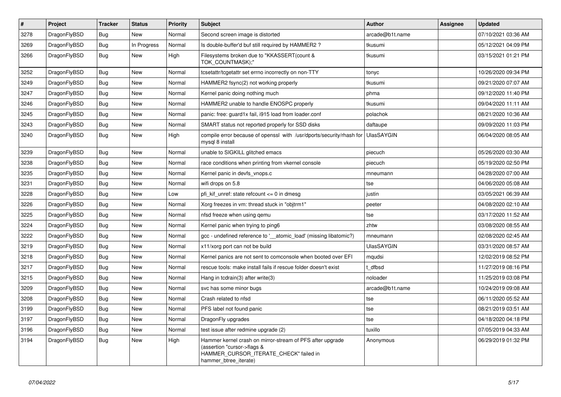| $\vert$ # | Project      | <b>Tracker</b> | <b>Status</b> | <b>Priority</b> | <b>Subject</b>                                                                                                                                              | <b>Author</b>     | Assignee | <b>Updated</b>      |
|-----------|--------------|----------------|---------------|-----------------|-------------------------------------------------------------------------------------------------------------------------------------------------------------|-------------------|----------|---------------------|
| 3278      | DragonFlyBSD | Bug            | New           | Normal          | Second screen image is distorted                                                                                                                            | arcade@b1t.name   |          | 07/10/2021 03:36 AM |
| 3269      | DragonFlyBSD | <b>Bug</b>     | In Progress   | Normal          | Is double-buffer'd buf still required by HAMMER2?                                                                                                           | tkusumi           |          | 05/12/2021 04:09 PM |
| 3266      | DragonFlyBSD | <b>Bug</b>     | New           | High            | Filesystems broken due to "KKASSERT(count &<br>TOK_COUNTMASK);"                                                                                             | tkusumi           |          | 03/15/2021 01:21 PM |
| 3252      | DragonFlyBSD | <b>Bug</b>     | New           | Normal          | tcsetattr/tcgetattr set errno incorrectly on non-TTY                                                                                                        | tonyc             |          | 10/26/2020 09:34 PM |
| 3249      | DragonFlyBSD | <b>Bug</b>     | <b>New</b>    | Normal          | HAMMER2 fsync(2) not working properly                                                                                                                       | tkusumi           |          | 09/21/2020 07:07 AM |
| 3247      | DragonFlyBSD | Bug            | New           | Normal          | Kernel panic doing nothing much                                                                                                                             | phma              |          | 09/12/2020 11:40 PM |
| 3246      | DragonFlyBSD | <b>Bug</b>     | <b>New</b>    | Normal          | HAMMER2 unable to handle ENOSPC properly                                                                                                                    | tkusumi           |          | 09/04/2020 11:11 AM |
| 3245      | DragonFlyBSD | Bug            | <b>New</b>    | Normal          | panic: free: guard1x fail, i915 load from loader.conf                                                                                                       | polachok          |          | 08/21/2020 10:36 AM |
| 3243      | DragonFlyBSD | Bug            | New           | Normal          | SMART status not reported properly for SSD disks                                                                                                            | daftaupe          |          | 09/09/2020 11:03 PM |
| 3240      | DragonFlyBSD | Bug            | New           | High            | compile error because of openssl with /usr/dports/security/rhash for<br>mvsal 8 install                                                                     | UlasSAYGIN        |          | 06/04/2020 08:05 AM |
| 3239      | DragonFlyBSD | Bug            | <b>New</b>    | Normal          | unable to SIGKILL glitched emacs                                                                                                                            | piecuch           |          | 05/26/2020 03:30 AM |
| 3238      | DragonFlyBSD | Bug            | <b>New</b>    | Normal          | race conditions when printing from vkernel console                                                                                                          | piecuch           |          | 05/19/2020 02:50 PM |
| 3235      | DragonFlyBSD | <b>Bug</b>     | <b>New</b>    | Normal          | Kernel panic in devfs_vnops.c                                                                                                                               | mneumann          |          | 04/28/2020 07:00 AM |
| 3231      | DragonFlyBSD | <b>Bug</b>     | <b>New</b>    | Normal          | wifi drops on 5.8                                                                                                                                           | tse               |          | 04/06/2020 05:08 AM |
| 3228      | DragonFlyBSD | Bug            | <b>New</b>    | Low             | pfi kif unref: state refcount $\leq 0$ in dmesg                                                                                                             | justin            |          | 03/05/2021 06:39 AM |
| 3226      | DragonFlyBSD | <b>Bug</b>     | New           | Normal          | Xorg freezes in vm: thread stuck in "objtrm1"                                                                                                               | peeter            |          | 04/08/2020 02:10 AM |
| 3225      | DragonFlyBSD | <b>Bug</b>     | <b>New</b>    | Normal          | nfsd freeze when using qemu                                                                                                                                 | tse               |          | 03/17/2020 11:52 AM |
| 3224      | DragonFlyBSD | Bug            | New           | Normal          | Kernel panic when trying to ping6                                                                                                                           | zhtw              |          | 03/08/2020 08:55 AM |
| 3222      | DragonFlyBSD | Bug            | <b>New</b>    | Normal          | gcc - undefined reference to ' atomic load' (missing libatomic?)                                                                                            | mneumann          |          | 02/08/2020 02:45 AM |
| 3219      | DragonFlyBSD | Bug            | New           | Normal          | x11/xorg port can not be build                                                                                                                              | <b>UlasSAYGIN</b> |          | 03/31/2020 08:57 AM |
| 3218      | DragonFlyBSD | <b>Bug</b>     | New           | Normal          | Kernel panics are not sent to comconsole when booted over EFI                                                                                               | mqudsi            |          | 12/02/2019 08:52 PM |
| 3217      | DragonFlyBSD | Bug            | New           | Normal          | rescue tools: make install fails if rescue folder doesn't exist                                                                                             | t dfbsd           |          | 11/27/2019 08:16 PM |
| 3215      | DragonFlyBSD | Bug            | New           | Normal          | Hang in tcdrain(3) after write(3)                                                                                                                           | noloader          |          | 11/25/2019 03:08 PM |
| 3209      | DragonFlyBSD | Bug            | New           | Normal          | svc has some minor bugs                                                                                                                                     | arcade@b1t.name   |          | 10/24/2019 09:08 AM |
| 3208      | DragonFlyBSD | Bug            | New           | Normal          | Crash related to nfsd                                                                                                                                       | tse               |          | 06/11/2020 05:52 AM |
| 3199      | DragonFlyBSD | Bug            | <b>New</b>    | Normal          | PFS label not found panic                                                                                                                                   | tse               |          | 08/21/2019 03:51 AM |
| 3197      | DragonFlyBSD | Bug            | New           | Normal          | DragonFly upgrades                                                                                                                                          | tse               |          | 04/18/2020 04:18 PM |
| 3196      | DragonFlyBSD | Bug            | New           | Normal          | test issue after redmine upgrade (2)                                                                                                                        | tuxillo           |          | 07/05/2019 04:33 AM |
| 3194      | DragonFlyBSD | Bug            | New           | High            | Hammer kernel crash on mirror-stream of PFS after upgrade<br>(assertion "cursor->flags &<br>HAMMER_CURSOR_ITERATE_CHECK" failed in<br>hammer btree iterate) | Anonymous         |          | 06/29/2019 01:32 PM |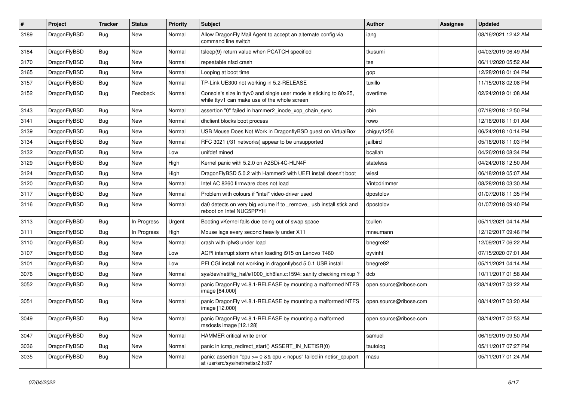| $\sharp$ | Project      | <b>Tracker</b> | <b>Status</b> | <b>Priority</b> | Subject                                                                                                            | <b>Author</b>          | Assignee | <b>Updated</b>      |
|----------|--------------|----------------|---------------|-----------------|--------------------------------------------------------------------------------------------------------------------|------------------------|----------|---------------------|
| 3189     | DragonFlyBSD | Bug            | New           | Normal          | Allow DragonFly Mail Agent to accept an alternate config via<br>command line switch                                | iang                   |          | 08/16/2021 12:42 AM |
| 3184     | DragonFlyBSD | <b>Bug</b>     | <b>New</b>    | Normal          | tsleep(9) return value when PCATCH specified                                                                       | tkusumi                |          | 04/03/2019 06:49 AM |
| 3170     | DragonFlyBSD | <b>Bug</b>     | New           | Normal          | repeatable nfsd crash                                                                                              | tse                    |          | 06/11/2020 05:52 AM |
| 3165     | DragonFlyBSD | <b>Bug</b>     | <b>New</b>    | Normal          | Looping at boot time                                                                                               | gop                    |          | 12/28/2018 01:04 PM |
| 3157     | DragonFlyBSD | <b>Bug</b>     | <b>New</b>    | Normal          | TP-Link UE300 not working in 5.2-RELEASE                                                                           | tuxillo                |          | 11/15/2018 02:08 PM |
| 3152     | DragonFlyBSD | Bug            | Feedback      | Normal          | Console's size in ttyv0 and single user mode is sticking to 80x25,<br>while ttyv1 can make use of the whole screen | overtime               |          | 02/24/2019 01:08 AM |
| 3143     | DragonFlyBSD | Bug            | <b>New</b>    | Normal          | assertion "0" failed in hammer2_inode_xop_chain_sync                                                               | cbin                   |          | 07/18/2018 12:50 PM |
| 3141     | DragonFlyBSD | Bug            | <b>New</b>    | Normal          | dhclient blocks boot process                                                                                       | rowo                   |          | 12/16/2018 11:01 AM |
| 3139     | DragonFlyBSD | <b>Bug</b>     | <b>New</b>    | Normal          | USB Mouse Does Not Work in DragonflyBSD guest on VirtualBox                                                        | chiguy1256             |          | 06/24/2018 10:14 PM |
| 3134     | DragonFlyBSD | <b>Bug</b>     | <b>New</b>    | Normal          | RFC 3021 (/31 networks) appear to be unsupported                                                                   | jailbird               |          | 05/16/2018 11:03 PM |
| 3132     | DragonFlyBSD | <b>Bug</b>     | <b>New</b>    | Low             | unifdef mined                                                                                                      | bcallah                |          | 04/26/2018 08:34 PM |
| 3129     | DragonFlyBSD | <b>Bug</b>     | <b>New</b>    | High            | Kernel panic with 5.2.0 on A2SDi-4C-HLN4F                                                                          | stateless              |          | 04/24/2018 12:50 AM |
| 3124     | DragonFlyBSD | Bug            | <b>New</b>    | High            | DragonFlyBSD 5.0.2 with Hammer2 with UEFI install doesn't boot                                                     | wiesl                  |          | 06/18/2019 05:07 AM |
| 3120     | DragonFlyBSD | <b>Bug</b>     | <b>New</b>    | Normal          | Intel AC 8260 firmware does not load                                                                               | Vintodrimmer           |          | 08/28/2018 03:30 AM |
| 3117     | DragonFlyBSD | <b>Bug</b>     | New           | Normal          | Problem with colours if "intel" video-driver used                                                                  | dpostolov              |          | 01/07/2018 11:35 PM |
| 3116     | DragonFlyBSD | Bug            | <b>New</b>    | Normal          | da0 detects on very big volume if to _remove_ usb install stick and<br>reboot on Intel NUC5PPYH                    | dpostolov              |          | 01/07/2018 09:40 PM |
| 3113     | DragonFlyBSD | Bug            | In Progress   | Urgent          | Booting vKernel fails due being out of swap space                                                                  | tcullen                |          | 05/11/2021 04:14 AM |
| 3111     | DragonFlyBSD | <b>Bug</b>     | In Progress   | High            | Mouse lags every second heavily under X11                                                                          | mneumann               |          | 12/12/2017 09:46 PM |
| 3110     | DragonFlyBSD | <b>Bug</b>     | <b>New</b>    | Normal          | crash with ipfw3 under load                                                                                        | bnegre82               |          | 12/09/2017 06:22 AM |
| 3107     | DragonFlyBSD | Bug            | <b>New</b>    | Low             | ACPI interrupt storm when loading i915 on Lenovo T460                                                              | oyvinht                |          | 07/15/2020 07:01 AM |
| 3101     | DragonFlyBSD | <b>Bug</b>     | <b>New</b>    | Low             | PFI CGI install not working in dragonflybsd 5.0.1 USB install                                                      | bnegre82               |          | 05/11/2021 04:14 AM |
| 3076     | DragonFlyBSD | Bug            | New           | Normal          | sys/dev/netif/ig_hal/e1000_ich8lan.c:1594: sanity checking mixup?                                                  | dcb                    |          | 10/11/2017 01:58 AM |
| 3052     | DragonFlyBSD | Bug            | New           | Normal          | panic DragonFly v4.8.1-RELEASE by mounting a malformed NTFS<br>image [64.000]                                      | open.source@ribose.com |          | 08/14/2017 03:22 AM |
| 3051     | DragonFlyBSD | Bug            | <b>New</b>    | Normal          | panic DragonFly v4.8.1-RELEASE by mounting a malformed NTFS<br>image [12.000]                                      | open.source@ribose.com |          | 08/14/2017 03:20 AM |
| 3049     | DragonFlyBSD | <b>Bug</b>     | New           | Normal          | panic DragonFly v4.8.1-RELEASE by mounting a malformed<br>msdosfs image [12.128]                                   | open.source@ribose.com |          | 08/14/2017 02:53 AM |
| 3047     | DragonFlyBSD | Bug            | New           | Normal          | HAMMER critical write error                                                                                        | samuel                 |          | 06/19/2019 09:50 AM |
| 3036     | DragonFlyBSD | <b>Bug</b>     | New           | Normal          | panic in icmp redirect start() ASSERT IN NETISR(0)                                                                 | tautolog               |          | 05/11/2017 07:27 PM |
| 3035     | DragonFlyBSD | <b>Bug</b>     | New           | Normal          | panic: assertion "cpu >= 0 && cpu < ncpus" failed in netisr_cpuport<br>at /usr/src/sys/net/netisr2.h:87            | masu                   |          | 05/11/2017 01:24 AM |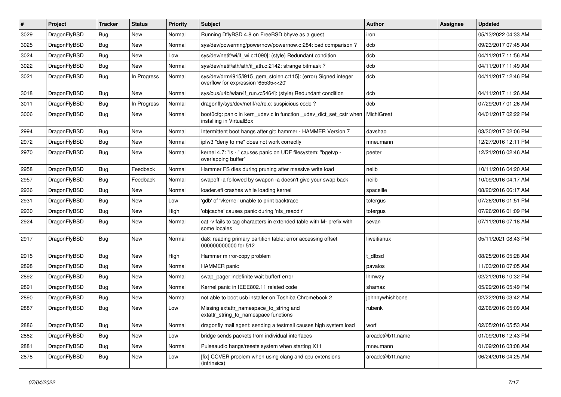| $\vert$ # | Project      | <b>Tracker</b> | <b>Status</b> | <b>Priority</b> | Subject                                                                                                | Author            | <b>Assignee</b> | <b>Updated</b>      |
|-----------|--------------|----------------|---------------|-----------------|--------------------------------------------------------------------------------------------------------|-------------------|-----------------|---------------------|
| 3029      | DragonFlyBSD | <b>Bug</b>     | New           | Normal          | Running DflyBSD 4.8 on FreeBSD bhyve as a guest                                                        | iron              |                 | 05/13/2022 04:33 AM |
| 3025      | DragonFlyBSD | <b>Bug</b>     | <b>New</b>    | Normal          | sys/dev/powermng/powernow/powernow.c:284: bad comparison?                                              | dcb               |                 | 09/23/2017 07:45 AM |
| 3024      | DragonFlyBSD | <b>Bug</b>     | New           | Low             | sys/dev/netif/wi/if_wi.c:1090]: (style) Redundant condition                                            | dcb               |                 | 04/11/2017 11:56 AM |
| 3022      | DragonFlyBSD | Bug            | New           | Normal          | sys/dev/netif/ath/ath/if ath.c:2142: strange bitmask?                                                  | dcb               |                 | 04/11/2017 11:49 AM |
| 3021      | DragonFlyBSD | Bug            | In Progress   | Normal          | sys/dev/drm/i915/i915_gem_stolen.c:115]: (error) Signed integer<br>overflow for expression '65535<<20' | dcb               |                 | 04/11/2017 12:46 PM |
| 3018      | DragonFlyBSD | Bug            | <b>New</b>    | Normal          | sys/bus/u4b/wlan/if_run.c:5464]: (style) Redundant condition                                           | dcb               |                 | 04/11/2017 11:26 AM |
| 3011      | DragonFlyBSD | <b>Bug</b>     | In Progress   | Normal          | dragonfly/sys/dev/netif/re/re.c: suspicious code?                                                      | dcb               |                 | 07/29/2017 01:26 AM |
| 3006      | DragonFlyBSD | Bug            | New           | Normal          | boot0cfg: panic in kern_udev.c in function _udev_dict_set_cstr when<br>installing in VirtualBox        | <b>MichiGreat</b> |                 | 04/01/2017 02:22 PM |
| 2994      | DragonFlyBSD | Bug            | <b>New</b>    | Normal          | Intermittent boot hangs after git: hammer - HAMMER Version 7                                           | davshao           |                 | 03/30/2017 02:06 PM |
| 2972      | DragonFlyBSD | Bug            | <b>New</b>    | Normal          | ipfw3 "deny to me" does not work correctly                                                             | mneumann          |                 | 12/27/2016 12:11 PM |
| 2970      | DragonFlyBSD | Bug            | New           | Normal          | kernel 4.7: "Is -I" causes panic on UDF filesystem: "bgetvp -<br>overlapping buffer"                   | peeter            |                 | 12/21/2016 02:46 AM |
| 2958      | DragonFlyBSD | Bug            | Feedback      | Normal          | Hammer FS dies during pruning after massive write load                                                 | neilb             |                 | 10/11/2016 04:20 AM |
| 2957      | DragonFlyBSD | <b>Bug</b>     | Feedback      | Normal          | swapoff -a followed by swapon -a doesn't give your swap back                                           | neilb             |                 | 10/09/2016 04:17 AM |
| 2936      | DragonFlyBSD | Bug            | New           | Normal          | loader.efi crashes while loading kernel                                                                | spaceille         |                 | 08/20/2016 06:17 AM |
| 2931      | DragonFlyBSD | Bug            | <b>New</b>    | Low             | 'gdb' of 'vkernel' unable to print backtrace                                                           | tofergus          |                 | 07/26/2016 01:51 PM |
| 2930      | DragonFlyBSD | <b>Bug</b>     | New           | High            | 'objcache' causes panic during 'nfs readdir'                                                           | tofergus          |                 | 07/26/2016 01:09 PM |
| 2924      | DragonFlyBSD | Bug            | New           | Normal          | cat -v fails to tag characters in extended table with M- prefix with<br>some locales                   | sevan             |                 | 07/11/2016 07:18 AM |
| 2917      | DragonFlyBSD | Bug            | New           | Normal          | da8: reading primary partition table: error accessing offset<br>000000000000 for 512                   | liweitianux       |                 | 05/11/2021 08:43 PM |
| 2915      | DragonFlyBSD | <b>Bug</b>     | New           | High            | Hammer mirror-copy problem                                                                             | t dfbsd           |                 | 08/25/2016 05:28 AM |
| 2898      | DragonFlyBSD | Bug            | <b>New</b>    | Normal          | HAMMER panic                                                                                           | pavalos           |                 | 11/03/2018 07:05 AM |
| 2892      | DragonFlyBSD | Bug            | <b>New</b>    | Normal          | swap pager:indefinite wait bufferf error                                                               | <b>Ihmwzy</b>     |                 | 02/21/2016 10:32 PM |
| 2891      | DragonFlyBSD | <b>Bug</b>     | New           | Normal          | Kernel panic in IEEE802.11 related code                                                                | shamaz            |                 | 05/29/2016 05:49 PM |
| 2890      | DragonFlyBSD | Bug            | <b>New</b>    | Normal          | not able to boot usb installer on Toshiba Chromebook 2                                                 | johnnywhishbone   |                 | 02/22/2016 03:42 AM |
| 2887      | DragonFlyBSD | Bug            | New           | Low             | Missing extattr_namespace_to_string and<br>extattr_string_to_namespace functions                       | rubenk            |                 | 02/06/2016 05:09 AM |
| 2886      | DragonFlyBSD | Bug            | New           | Normal          | dragonfly mail agent: sending a testmail causes high system load                                       | worf              |                 | 02/05/2016 05:53 AM |
| 2882      | DragonFlyBSD | <b>Bug</b>     | New           | Low             | bridge sends packets from individual interfaces                                                        | arcade@b1t.name   |                 | 01/09/2016 12:43 PM |
| 2881      | DragonFlyBSD | <b>Bug</b>     | New           | Normal          | Pulseaudio hangs/resets system when starting X11                                                       | mneumann          |                 | 01/09/2016 03:08 AM |
| 2878      | DragonFlyBSD | Bug            | New           | Low             | [fix] CCVER problem when using clang and cpu extensions<br>(intrinsics)                                | arcade@b1t.name   |                 | 06/24/2016 04:25 AM |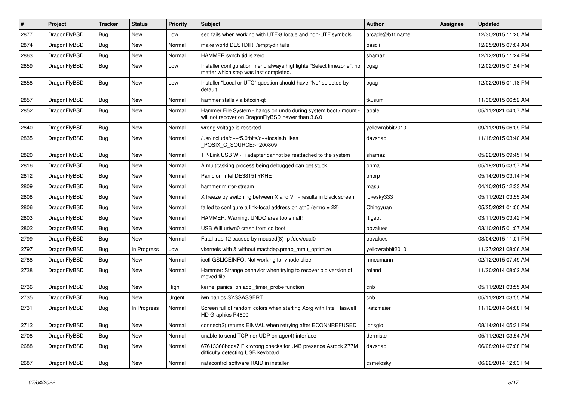| $\vert$ # | Project      | <b>Tracker</b> | <b>Status</b> | <b>Priority</b> | <b>Subject</b>                                                                                                       | Author           | Assignee | <b>Updated</b>      |
|-----------|--------------|----------------|---------------|-----------------|----------------------------------------------------------------------------------------------------------------------|------------------|----------|---------------------|
| 2877      | DragonFlyBSD | Bug            | <b>New</b>    | Low             | sed fails when working with UTF-8 locale and non-UTF symbols                                                         | arcade@b1t.name  |          | 12/30/2015 11:20 AM |
| 2874      | DragonFlyBSD | <b>Bug</b>     | <b>New</b>    | Normal          | make world DESTDIR=/emptydir fails                                                                                   | pascii           |          | 12/25/2015 07:04 AM |
| 2863      | DragonFlyBSD | <b>Bug</b>     | <b>New</b>    | Normal          | HAMMER synch tid is zero                                                                                             | shamaz           |          | 12/12/2015 11:24 PM |
| 2859      | DragonFlyBSD | Bug            | New           | Low             | Installer configuration menu always highlights "Select timezone", no<br>matter which step was last completed.        | cgag             |          | 12/02/2015 01:54 PM |
| 2858      | DragonFlyBSD | Bug            | New           | Low             | Installer "Local or UTC" question should have "No" selected by<br>default.                                           | cgag             |          | 12/02/2015 01:18 PM |
| 2857      | DragonFlyBSD | <b>Bug</b>     | <b>New</b>    | Normal          | hammer stalls via bitcoin-qt                                                                                         | tkusumi          |          | 11/30/2015 06:52 AM |
| 2852      | DragonFlyBSD | Bug            | <b>New</b>    | Normal          | Hammer File System - hangs on undo during system boot / mount -<br>will not recover on DragonFlyBSD newer than 3.6.0 | abale            |          | 05/11/2021 04:07 AM |
| 2840      | DragonFlyBSD | <b>Bug</b>     | <b>New</b>    | Normal          | wrong voltage is reported                                                                                            | yellowrabbit2010 |          | 09/11/2015 06:09 PM |
| 2835      | DragonFlyBSD | Bug            | New           | Normal          | /usr/include/c++/5.0/bits/c++locale.h likes<br>POSIX_C_SOURCE>=200809                                                | davshao          |          | 11/18/2015 03:40 AM |
| 2820      | DragonFlyBSD | <b>Bug</b>     | <b>New</b>    | Normal          | TP-Link USB Wi-Fi adapter cannot be reattached to the system                                                         | shamaz           |          | 05/22/2015 09:45 PM |
| 2816      | DragonFlyBSD | Bug            | <b>New</b>    | Normal          | A multitasking process being debugged can get stuck                                                                  | phma             |          | 05/19/2015 03:57 AM |
| 2812      | DragonFlyBSD | <b>Bug</b>     | <b>New</b>    | Normal          | Panic on Intel DE3815TYKHE                                                                                           | tmorp            |          | 05/14/2015 03:14 PM |
| 2809      | DragonFlyBSD | <b>Bug</b>     | <b>New</b>    | Normal          | hammer mirror-stream                                                                                                 | masu             |          | 04/10/2015 12:33 AM |
| 2808      | DragonFlyBSD | <b>Bug</b>     | <b>New</b>    | Normal          | X freeze by switching between X and VT - results in black screen                                                     | lukesky333       |          | 05/11/2021 03:55 AM |
| 2806      | DragonFlyBSD | <b>Bug</b>     | <b>New</b>    | Normal          | failed to configure a link-local address on ath $0$ (errno = 22)                                                     | Chingyuan        |          | 05/25/2021 01:00 AM |
| 2803      | DragonFlyBSD | Bug            | <b>New</b>    | Normal          | HAMMER: Warning: UNDO area too small!                                                                                | ftigeot          |          | 03/11/2015 03:42 PM |
| 2802      | DragonFlyBSD | <b>Bug</b>     | <b>New</b>    | Normal          | USB Wifi urtwn0 crash from cd boot                                                                                   | opvalues         |          | 03/10/2015 01:07 AM |
| 2799      | DragonFlyBSD | <b>Bug</b>     | New           | Normal          | Fatal trap 12 caused by moused(8) -p/dev/cual0                                                                       | opvalues         |          | 03/04/2015 11:01 PM |
| 2797      | DragonFlyBSD | Bug            | In Progress   | Low             | vkernels with & without machdep.pmap_mmu_optimize                                                                    | yellowrabbit2010 |          | 11/27/2021 08:06 AM |
| 2788      | DragonFlyBSD | <b>Bug</b>     | <b>New</b>    | Normal          | ioctl GSLICEINFO: Not working for vnode slice                                                                        | mneumann         |          | 02/12/2015 07:49 AM |
| 2738      | DragonFlyBSD | Bug            | <b>New</b>    | Normal          | Hammer: Strange behavior when trying to recover old version of<br>moved file                                         | roland           |          | 11/20/2014 08:02 AM |
| 2736      | DragonFlyBSD | <b>Bug</b>     | <b>New</b>    | High            | kernel panics on acpi_timer_probe function                                                                           | cnb              |          | 05/11/2021 03:55 AM |
| 2735      | DragonFlyBSD | Bug            | <b>New</b>    | Urgent          | iwn panics SYSSASSERT                                                                                                | cnb              |          | 05/11/2021 03:55 AM |
| 2731      | DragonFlyBSD | Bug            | In Progress   | Normal          | Screen full of random colors when starting Xorg with Intel Haswell<br>HD Graphics P4600                              | ikatzmaier       |          | 11/12/2014 04:08 PM |
| 2712      | DragonFlyBSD | Bug            | New           | Normal          | connect(2) returns EINVAL when retrying after ECONNREFUSED                                                           | jorisgio         |          | 08/14/2014 05:31 PM |
| 2708      | DragonFlyBSD | <b>Bug</b>     | New           | Normal          | unable to send TCP nor UDP on age(4) interface                                                                       | dermiste         |          | 05/11/2021 03:54 AM |
| 2688      | DragonFlyBSD | <b>Bug</b>     | New           | Normal          | 67613368bdda7 Fix wrong checks for U4B presence Asrock Z77M<br>difficulty detecting USB keyboard                     | davshao          |          | 06/28/2014 07:08 PM |
| 2687      | DragonFlyBSD | <b>Bug</b>     | New           | Normal          | natacontrol software RAID in installer                                                                               | csmelosky        |          | 06/22/2014 12:03 PM |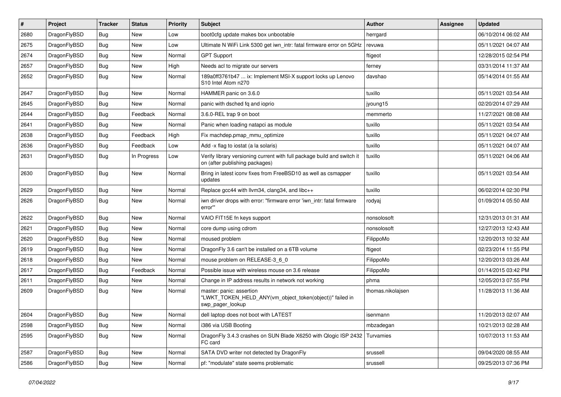| #    | Project      | <b>Tracker</b> | <b>Status</b> | <b>Priority</b> | Subject                                                                                                   | Author            | Assignee | <b>Updated</b>      |
|------|--------------|----------------|---------------|-----------------|-----------------------------------------------------------------------------------------------------------|-------------------|----------|---------------------|
| 2680 | DragonFlyBSD | Bug            | <b>New</b>    | Low             | boot0cfg update makes box unbootable                                                                      | herrgard          |          | 06/10/2014 06:02 AM |
| 2675 | DragonFlyBSD | Bug            | <b>New</b>    | Low             | Ultimate N WiFi Link 5300 get iwn_intr: fatal firmware error on 5GHz                                      | revuwa            |          | 05/11/2021 04:07 AM |
| 2674 | DragonFlyBSD | <b>Bug</b>     | New           | Normal          | <b>GPT Support</b>                                                                                        | ftigeot           |          | 12/28/2015 02:54 PM |
| 2657 | DragonFlyBSD | Bug            | <b>New</b>    | High            | Needs acl to migrate our servers                                                                          | ferney            |          | 03/31/2014 11:37 AM |
| 2652 | DragonFlyBSD | <b>Bug</b>     | New           | Normal          | 189a0ff3761b47  ix: Implement MSI-X support locks up Lenovo<br>S10 Intel Atom n270                        | davshao           |          | 05/14/2014 01:55 AM |
| 2647 | DragonFlyBSD | <b>Bug</b>     | New           | Normal          | HAMMER panic on 3.6.0                                                                                     | tuxillo           |          | 05/11/2021 03:54 AM |
| 2645 | DragonFlyBSD | <b>Bug</b>     | New           | Normal          | panic with dsched fq and ioprio                                                                           | jyoung15          |          | 02/20/2014 07:29 AM |
| 2644 | DragonFlyBSD | Bug            | Feedback      | Normal          | 3.6.0-REL trap 9 on boot                                                                                  | memmerto          |          | 11/27/2021 08:08 AM |
| 2641 | DragonFlyBSD | Bug            | New           | Normal          | Panic when loading natapci as module                                                                      | tuxillo           |          | 05/11/2021 03:54 AM |
| 2638 | DragonFlyBSD | <b>Bug</b>     | Feedback      | High            | Fix machdep.pmap_mmu_optimize                                                                             | tuxillo           |          | 05/11/2021 04:07 AM |
| 2636 | DragonFlyBSD | <b>Bug</b>     | Feedback      | Low             | Add -x flag to iostat (a la solaris)                                                                      | tuxillo           |          | 05/11/2021 04:07 AM |
| 2631 | DragonFlyBSD | Bug            | In Progress   | Low             | Verify library versioning current with full package build and switch it<br>on (after publishing packages) | tuxillo           |          | 05/11/2021 04:06 AM |
| 2630 | DragonFlyBSD | Bug            | New           | Normal          | Bring in latest iconv fixes from FreeBSD10 as well as csmapper<br>updates                                 | tuxillo           |          | 05/11/2021 03:54 AM |
| 2629 | DragonFlyBSD | Bug            | <b>New</b>    | Normal          | Replace gcc44 with llvm34, clang34, and libc++                                                            | tuxillo           |          | 06/02/2014 02:30 PM |
| 2626 | DragonFlyBSD | Bug            | <b>New</b>    | Normal          | iwn driver drops with error: "firmware error 'iwn_intr: fatal firmware<br>error""                         | rodyaj            |          | 01/09/2014 05:50 AM |
| 2622 | DragonFlyBSD | Bug            | <b>New</b>    | Normal          | VAIO FIT15E fn keys support                                                                               | nonsolosoft       |          | 12/31/2013 01:31 AM |
| 2621 | DragonFlyBSD | <b>Bug</b>     | New           | Normal          | core dump using cdrom                                                                                     | nonsolosoft       |          | 12/27/2013 12:43 AM |
| 2620 | DragonFlyBSD | Bug            | New           | Normal          | moused problem                                                                                            | FilippoMo         |          | 12/20/2013 10:32 AM |
| 2619 | DragonFlyBSD | <b>Bug</b>     | <b>New</b>    | Normal          | DragonFly 3.6 can't be installed on a 6TB volume                                                          | ftigeot           |          | 02/23/2014 11:55 PM |
| 2618 | DragonFlyBSD | <b>Bug</b>     | New           | Normal          | mouse problem on RELEASE-3 6 0                                                                            | FilippoMo         |          | 12/20/2013 03:26 AM |
| 2617 | DragonFlyBSD | Bug            | Feedback      | Normal          | Possible issue with wireless mouse on 3.6 release                                                         | FilippoMo         |          | 01/14/2015 03:42 PM |
| 2611 | DragonFlyBSD | <b>Bug</b>     | <b>New</b>    | Normal          | Change in IP address results in network not working                                                       | phma              |          | 12/05/2013 07:55 PM |
| 2609 | DragonFlyBSD | Bug            | New           | Normal          | master: panic: assertion<br>"LWKT_TOKEN_HELD_ANY(vm_object_token(object))" failed in<br>swp_pager_lookup  | thomas.nikolajsen |          | 11/28/2013 11:36 AM |
| 2604 | DragonFlyBSD | Bug            | New           | Normal          | dell laptop does not boot with LATEST                                                                     | isenmann          |          | 11/20/2013 02:07 AM |
| 2598 | DragonFlyBSD | Bug            | New           | Normal          | i386 via USB Booting                                                                                      | mbzadegan         |          | 10/21/2013 02:28 AM |
| 2595 | DragonFlyBSD | <b>Bug</b>     | New           | Normal          | DragonFly 3.4.3 crashes on SUN Blade X6250 with Qlogic ISP 2432<br>FC card                                | Turvamies         |          | 10/07/2013 11:53 AM |
| 2587 | DragonFlyBSD | <b>Bug</b>     | New           | Normal          | SATA DVD writer not detected by DragonFly                                                                 | srussell          |          | 09/04/2020 08:55 AM |
| 2586 | DragonFlyBSD | <b>Bug</b>     | New           | Normal          | pf: "modulate" state seems problematic                                                                    | srussell          |          | 09/25/2013 07:36 PM |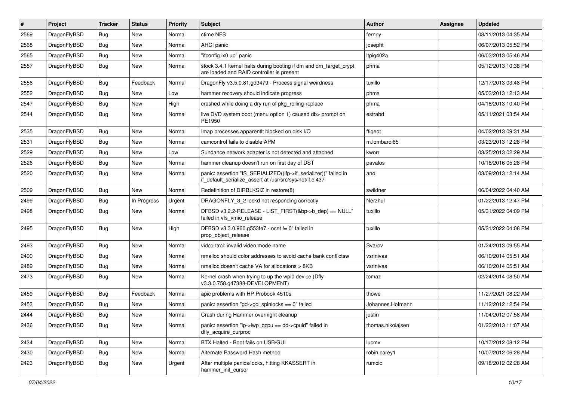| $\sharp$ | Project      | <b>Tracker</b> | <b>Status</b> | <b>Priority</b> | Subject                                                                                                                      | Author            | Assignee | <b>Updated</b>      |
|----------|--------------|----------------|---------------|-----------------|------------------------------------------------------------------------------------------------------------------------------|-------------------|----------|---------------------|
| 2569     | DragonFlyBSD | Bug            | New           | Normal          | ctime NFS                                                                                                                    | ferney            |          | 08/11/2013 04:35 AM |
| 2568     | DragonFlyBSD | Bug            | New           | Normal          | AHCI panic                                                                                                                   | josepht           |          | 06/07/2013 05:52 PM |
| 2565     | DragonFlyBSD | Bug            | New           | Normal          | "ifconfig ix0 up" panic                                                                                                      | Itpig402a         |          | 06/03/2013 05:46 AM |
| 2557     | DragonFlyBSD | Bug            | New           | Normal          | stock 3.4.1 kernel halts during booting if dm and dm_target_crypt<br>are loaded and RAID controller is present               | phma              |          | 05/12/2013 10:38 PM |
| 2556     | DragonFlyBSD | Bug            | Feedback      | Normal          | DragonFly v3.5.0.81.gd3479 - Process signal weirdness                                                                        | tuxillo           |          | 12/17/2013 03:48 PM |
| 2552     | DragonFlyBSD | Bug            | <b>New</b>    | Low             | hammer recovery should indicate progress                                                                                     | phma              |          | 05/03/2013 12:13 AM |
| 2547     | DragonFlyBSD | Bug            | New           | High            | crashed while doing a dry run of pkg rolling-replace                                                                         | phma              |          | 04/18/2013 10:40 PM |
| 2544     | DragonFlyBSD | Bug            | New           | Normal          | live DVD system boot (menu option 1) caused db> prompt on<br>PE1950                                                          | estrabd           |          | 05/11/2021 03:54 AM |
| 2535     | DragonFlyBSD | Bug            | <b>New</b>    | Normal          | Imap processes apparentlt blocked on disk I/O                                                                                | ftigeot           |          | 04/02/2013 09:31 AM |
| 2531     | DragonFlyBSD | Bug            | New           | Normal          | camcontrol fails to disable APM                                                                                              | m.lombardi85      |          | 03/23/2013 12:28 PM |
| 2529     | DragonFlyBSD | Bug            | New           | Low             | Sundance network adapter is not detected and attached                                                                        | kworr             |          | 03/25/2013 02:29 AM |
| 2526     | DragonFlyBSD | Bug            | New           | Normal          | hammer cleanup doesn't run on first day of DST                                                                               | pavalos           |          | 10/18/2016 05:28 PM |
| 2520     | DragonFlyBSD | Bug            | New           | Normal          | panic: assertion "IS_SERIALIZED((ifp->if_serializer))" failed in<br>if_default_serialize_assert at /usr/src/sys/net/if.c:437 | ano               |          | 03/09/2013 12:14 AM |
| 2509     | DragonFlyBSD | Bug            | <b>New</b>    | Normal          | Redefinition of DIRBLKSIZ in restore(8)                                                                                      | swildner          |          | 06/04/2022 04:40 AM |
| 2499     | DragonFlyBSD | Bug            | In Progress   | Urgent          | DRAGONFLY_3_2 lockd not responding correctly                                                                                 | Nerzhul           |          | 01/22/2013 12:47 PM |
| 2498     | DragonFlyBSD | Bug            | <b>New</b>    | Normal          | DFBSD v3.2.2-RELEASE - LIST_FIRST(&bp->b_dep) == NULL"<br>failed in vfs_vmio_release                                         | tuxillo           |          | 05/31/2022 04:09 PM |
| 2495     | DragonFlyBSD | <b>Bug</b>     | New           | High            | DFBSD v3.3.0.960.g553fe7 - ocnt != 0" failed in<br>prop object release                                                       | tuxillo           |          | 05/31/2022 04:08 PM |
| 2493     | DragonFlyBSD | Bug            | <b>New</b>    | Normal          | vidcontrol: invalid video mode name                                                                                          | Svarov            |          | 01/24/2013 09:55 AM |
| 2490     | DragonFlyBSD | Bug            | New           | Normal          | nmalloc should color addresses to avoid cache bank conflictsw                                                                | vsrinivas         |          | 06/10/2014 05:51 AM |
| 2489     | DragonFlyBSD | Bug            | New           | Normal          | nmalloc doesn't cache VA for allocations > 8KB                                                                               | vsrinivas         |          | 06/10/2014 05:51 AM |
| 2473     | DragonFlyBSD | Bug            | New           | Normal          | Kernel crash when trying to up the wpi0 device (Dfly<br>v3.3.0.758.g47388-DEVELOPMENT)                                       | tomaz             |          | 02/24/2014 08:50 AM |
| 2459     | DragonFlyBSD | Bug            | Feedback      | Normal          | apic problems with HP Probook 4510s                                                                                          | thowe             |          | 11/27/2021 08:22 AM |
| 2453     | DragonFlyBSD | Bug            | New           | Normal          | panic: assertion "gd->gd spinlocks == $0$ " failed                                                                           | Johannes.Hofmann  |          | 11/12/2012 12:54 PM |
| 2444     | DragonFlyBSD | Bug            | <b>New</b>    | Normal          | Crash during Hammer overnight cleanup                                                                                        | justin            |          | 11/04/2012 07:58 AM |
| 2436     | DragonFlyBSD | Bug            | New           | Normal          | panic: assertion "lp->lwp_qcpu == dd->cpuid" failed in<br>dfly acquire curproc                                               | thomas.nikolajsen |          | 01/23/2013 11:07 AM |
| 2434     | DragonFlyBSD | <b>Bug</b>     | New           | Normal          | BTX Halted - Boot fails on USB/GUI                                                                                           | lucmv             |          | 10/17/2012 08:12 PM |
| 2430     | DragonFlyBSD | <b>Bug</b>     | New           | Normal          | Alternate Password Hash method                                                                                               | robin.carey1      |          | 10/07/2012 06:28 AM |
| 2423     | DragonFlyBSD | <b>Bug</b>     | New           | Urgent          | After multiple panics/locks, hitting KKASSERT in<br>hammer_init_cursor                                                       | rumcic            |          | 09/18/2012 02:28 AM |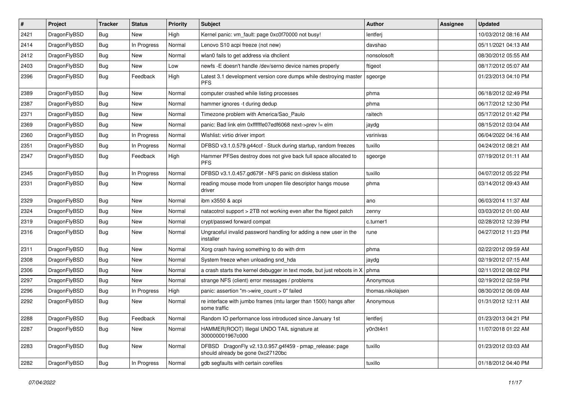| #    | Project      | <b>Tracker</b> | <b>Status</b> | <b>Priority</b> | Subject                                                                                      | <b>Author</b>     | Assignee | <b>Updated</b>      |
|------|--------------|----------------|---------------|-----------------|----------------------------------------------------------------------------------------------|-------------------|----------|---------------------|
| 2421 | DragonFlyBSD | Bug            | New           | High            | Kernel panic: vm_fault: page 0xc0f70000 not busy!                                            | lentferj          |          | 10/03/2012 08:16 AM |
| 2414 | DragonFlyBSD | <b>Bug</b>     | In Progress   | Normal          | Lenovo S10 acpi freeze (not new)                                                             | davshao           |          | 05/11/2021 04:13 AM |
| 2412 | DragonFlyBSD | Bug            | New           | Normal          | wlan0 fails to get address via dhclient                                                      | nonsolosoft       |          | 08/30/2012 05:55 AM |
| 2403 | DragonFlyBSD | Bug            | New           | Low             | newfs -E doesn't handle /dev/serno device names properly                                     | ftigeot           |          | 08/17/2012 05:07 AM |
| 2396 | DragonFlyBSD | <b>Bug</b>     | Feedback      | High            | Latest 3.1 development version core dumps while destroying master<br><b>PFS</b>              | sgeorge           |          | 01/23/2013 04:10 PM |
| 2389 | DragonFlyBSD | <b>Bug</b>     | New           | Normal          | computer crashed while listing processes                                                     | phma              |          | 06/18/2012 02:49 PM |
| 2387 | DragonFlyBSD | Bug            | New           | Normal          | hammer ignores -t during dedup                                                               | phma              |          | 06/17/2012 12:30 PM |
| 2371 | DragonFlyBSD | Bug            | New           | Normal          | Timezone problem with America/Sao_Paulo                                                      | raitech           |          | 05/17/2012 01:42 PM |
| 2369 | DragonFlyBSD | <b>Bug</b>     | New           | Normal          | panic: Bad link elm 0xffffffe07edf6068 next->prev != elm                                     | jaydg             |          | 08/15/2012 03:04 AM |
| 2360 | DragonFlyBSD | Bug            | In Progress   | Normal          | Wishlist: virtio driver import                                                               | vsrinivas         |          | 06/04/2022 04:16 AM |
| 2351 | DragonFlyBSD | <b>Bug</b>     | In Progress   | Normal          | DFBSD v3.1.0.579.g44ccf - Stuck during startup, random freezes                               | tuxillo           |          | 04/24/2012 08:21 AM |
| 2347 | DragonFlyBSD | <b>Bug</b>     | Feedback      | High            | Hammer PFSes destroy does not give back full space allocated to<br><b>PFS</b>                | sgeorge           |          | 07/19/2012 01:11 AM |
| 2345 | DragonFlyBSD | <b>Bug</b>     | In Progress   | Normal          | DFBSD v3.1.0.457.gd679f - NFS panic on diskless station                                      | tuxillo           |          | 04/07/2012 05:22 PM |
| 2331 | DragonFlyBSD | <b>Bug</b>     | New           | Normal          | reading mouse mode from unopen file descriptor hangs mouse<br>driver                         | phma              |          | 03/14/2012 09:43 AM |
| 2329 | DragonFlyBSD | <b>Bug</b>     | <b>New</b>    | Normal          | ibm x3550 & acpi                                                                             | ano               |          | 06/03/2014 11:37 AM |
| 2324 | DragonFlyBSD | Bug            | New           | Normal          | natacotrol support > 2TB not working even after the ftigeot patch                            | zenny             |          | 03/03/2012 01:00 AM |
| 2319 | DragonFlyBSD | Bug            | <b>New</b>    | Normal          | crypt/passwd forward compat                                                                  | c.turner1         |          | 02/28/2012 12:39 PM |
| 2316 | DragonFlyBSD | <b>Bug</b>     | <b>New</b>    | Normal          | Ungraceful invalid password handling for adding a new user in the<br>installer               | rune              |          | 04/27/2012 11:23 PM |
| 2311 | DragonFlyBSD | <b>Bug</b>     | <b>New</b>    | Normal          | Xorg crash having something to do with drm                                                   | phma              |          | 02/22/2012 09:59 AM |
| 2308 | DragonFlyBSD | <b>Bug</b>     | New           | Normal          | System freeze when unloading snd_hda                                                         | jaydg             |          | 02/19/2012 07:15 AM |
| 2306 | DragonFlyBSD | Bug            | New           | Normal          | a crash starts the kernel debugger in text mode, but just reboots in X                       | phma              |          | 02/11/2012 08:02 PM |
| 2297 | DragonFlyBSD | <b>Bug</b>     | New           | Normal          | strange NFS (client) error messages / problems                                               | Anonymous         |          | 02/19/2012 02:59 PM |
| 2296 | DragonFlyBSD | <b>Bug</b>     | In Progress   | High            | panic: assertion "m->wire_count > 0" failed                                                  | thomas.nikolajsen |          | 08/30/2012 06:09 AM |
| 2292 | DragonFlyBSD | Bug            | New           | Normal          | re interface with jumbo frames (mtu larger than 1500) hangs after<br>some traffic            | Anonymous         |          | 01/31/2012 12:11 AM |
| 2288 | DragonFlyBSD | <b>Bug</b>     | Feedback      | Normal          | Random IO performance loss introduced since January 1st                                      | lentferj          |          | 01/23/2013 04:21 PM |
| 2287 | DragonFlyBSD | <b>Bug</b>     | New           | Normal          | HAMMER(ROOT) Illegal UNDO TAIL signature at<br>300000001967c000                              | y0n3t4n1          |          | 11/07/2018 01:22 AM |
| 2283 | DragonFlyBSD | <b>Bug</b>     | New           | Normal          | DFBSD DragonFly v2.13.0.957.g4f459 - pmap_release: page<br>should already be gone 0xc27120bc | tuxillo           |          | 01/23/2012 03:03 AM |
| 2282 | DragonFlyBSD | <b>Bug</b>     | In Progress   | Normal          | gdb segfaults with certain corefiles                                                         | tuxillo           |          | 01/18/2012 04:40 PM |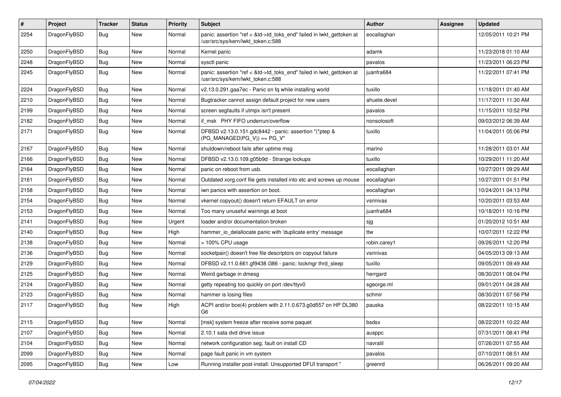| $\pmb{\#}$ | Project      | <b>Tracker</b> | <b>Status</b> | <b>Priority</b> | <b>Subject</b>                                                                                             | Author       | Assignee | <b>Updated</b>      |
|------------|--------------|----------------|---------------|-----------------|------------------------------------------------------------------------------------------------------------|--------------|----------|---------------------|
| 2254       | DragonFlyBSD | Bug            | New           | Normal          | panic: assertion "ref < &td->td_toks_end" failed in lwkt_gettoken at<br>/usr/src/sys/kern/lwkt_token.c:588 | eocallaghan  |          | 12/05/2011 10:21 PM |
| 2250       | DragonFlyBSD | <b>Bug</b>     | <b>New</b>    | Normal          | Kernel panic                                                                                               | adamk        |          | 11/23/2018 01:10 AM |
| 2248       | DragonFlyBSD | Bug            | New           | Normal          | sysctl panic                                                                                               | pavalos      |          | 11/23/2011 06:23 PM |
| 2245       | DragonFlyBSD | Bug            | New           | Normal          | panic: assertion "ref < &td->td_toks_end" failed in lwkt_gettoken at<br>/usr/src/sys/kern/lwkt token.c:588 | juanfra684   |          | 11/22/2011 07:41 PM |
| 2224       | DragonFlyBSD | <b>Bug</b>     | <b>New</b>    | Normal          | v2.13.0.291.gaa7ec - Panic on fq while installing world                                                    | tuxillo      |          | 11/18/2011 01:40 AM |
| 2210       | DragonFlyBSD | <b>Bug</b>     | New           | Normal          | Bugtracker cannot assign default project for new users                                                     | ahuete.devel |          | 11/17/2011 11:30 AM |
| 2199       | DragonFlyBSD | Bug            | <b>New</b>    | Normal          | screen segfaults if utmpx isn't present                                                                    | pavalos      |          | 11/15/2011 10:52 PM |
| 2182       | DragonFlyBSD | Bug            | <b>New</b>    | Normal          | if msk PHY FIFO underrun/overflow                                                                          | nonsolosoft  |          | 09/03/2012 06:39 AM |
| 2171       | DragonFlyBSD | <b>Bug</b>     | <b>New</b>    | Normal          | DFBSD v2.13.0.151.gdc8442 - panic: assertion "(*ptep &<br>$(PG_MANAGED PG_V)) == PG_V"$                    | tuxillo      |          | 11/04/2011 05:06 PM |
| 2167       | DragonFlyBSD | <b>Bug</b>     | <b>New</b>    | Normal          | shutdown/reboot fails after uptime msg                                                                     | marino       |          | 11/28/2011 03:01 AM |
| 2166       | DragonFlyBSD | <b>Bug</b>     | New           | Normal          | DFBSD v2.13.0.109.g05b9d - Strange lockups                                                                 | tuxillo      |          | 10/29/2011 11:20 AM |
| 2164       | DragonFlyBSD | Bug            | <b>New</b>    | Normal          | panic on reboot from usb.                                                                                  | eocallaghan  |          | 10/27/2011 09:29 AM |
| 2161       | DragonFlyBSD | <b>Bug</b>     | New           | Normal          | Outdated xorg.conf file gets installed into etc and screws up mouse                                        | eocallaghan  |          | 10/27/2011 01:51 PM |
| 2158       | DragonFlyBSD | Bug            | <b>New</b>    | Normal          | iwn panics with assertion on boot.                                                                         | eocallaghan  |          | 10/24/2011 04:13 PM |
| 2154       | DragonFlyBSD | <b>Bug</b>     | <b>New</b>    | Normal          | vkernel copyout() doesn't return EFAULT on error                                                           | vsrinivas    |          | 10/20/2011 03:53 AM |
| 2153       | DragonFlyBSD | <b>Bug</b>     | New           | Normal          | Too many unuseful warnings at boot                                                                         | juanfra684   |          | 10/18/2011 10:16 PM |
| 2141       | DragonFlyBSD | Bug            | <b>New</b>    | Urgent          | loader and/or documentation broken                                                                         | sjg          |          | 01/20/2012 10:51 AM |
| 2140       | DragonFlyBSD | Bug            | New           | High            | hammer_io_delallocate panic with 'duplicate entry' message                                                 | ttw          |          | 10/07/2011 12:22 PM |
| 2138       | DragonFlyBSD | Bug            | <b>New</b>    | Normal          | > 100% CPU usage                                                                                           | robin.carey1 |          | 09/26/2011 12:20 PM |
| 2136       | DragonFlyBSD | <b>Bug</b>     | <b>New</b>    | Normal          | socketpair() doesn't free file descriptors on copyout failure                                              | vsrinivas    |          | 04/05/2013 09:13 AM |
| 2129       | DragonFlyBSD | Bug            | <b>New</b>    | Normal          | DFBSD v2.11.0.661.gf9438 i386 - panic: lockmgr thrd_sleep                                                  | tuxillo      |          | 09/05/2011 09:49 AM |
| 2125       | DragonFlyBSD | Bug            | New           | Normal          | Weird garbage in dmesg                                                                                     | herrgard     |          | 08/30/2011 08:04 PM |
| 2124       | DragonFlyBSD | Bug            | New           | Normal          | getty repeating too quickly on port /dev/ttyv0                                                             | sgeorge.ml   |          | 09/01/2011 04:28 AM |
| 2123       | DragonFlyBSD | <b>Bug</b>     | New           | Normal          | hammer is losing files                                                                                     | schmir       |          | 08/30/2011 07:56 PM |
| 2117       | DragonFlyBSD | <b>Bug</b>     | New           | High            | ACPI and/or bce(4) problem with 2.11.0.673.g0d557 on HP DL380<br>G <sub>6</sub>                            | pauska       |          | 08/22/2011 10:15 AM |
| 2115       | DragonFlyBSD | <b>Bug</b>     | New           | Normal          | [msk] system freeze after receive some paquet                                                              | bsdsx        |          | 08/22/2011 10:22 AM |
| 2107       | DragonFlyBSD | <b>Bug</b>     | New           | Normal          | 2.10.1 sata dvd drive issue                                                                                | ausppc       |          | 07/31/2011 08:41 PM |
| 2104       | DragonFlyBSD | <b>Bug</b>     | New           | Normal          | network configuration seg. fault on install CD                                                             | navratil     |          | 07/26/2011 07:55 AM |
| 2099       | DragonFlyBSD | <b>Bug</b>     | New           | Normal          | page fault panic in vm system                                                                              | pavalos      |          | 07/10/2011 08:51 AM |
| 2095       | DragonFlyBSD | <b>Bug</b>     | New           | Low             | Running installer post-install: Unsupported DFUI transport "                                               | greenrd      |          | 06/26/2011 09:20 AM |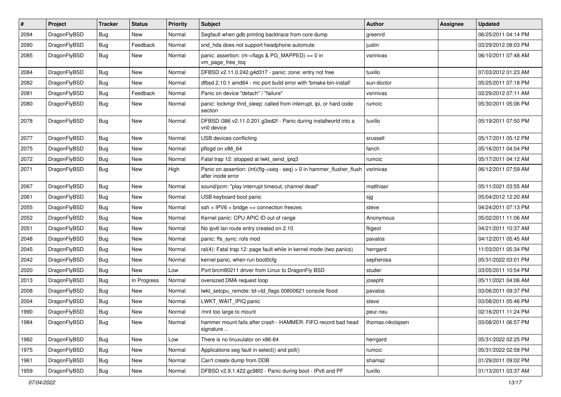| $\sharp$ | Project      | <b>Tracker</b> | <b>Status</b> | <b>Priority</b> | Subject                                                                                    | Author            | Assignee | <b>Updated</b>      |
|----------|--------------|----------------|---------------|-----------------|--------------------------------------------------------------------------------------------|-------------------|----------|---------------------|
| 2094     | DragonFlyBSD | Bug            | New           | Normal          | Segfault when gdb printing backtrace from core dump                                        | greenrd           |          | 06/25/2011 04:14 PM |
| 2090     | DragonFlyBSD | Bug            | Feedback      | Normal          | snd_hda does not support headphone automute                                                | justin            |          | 03/29/2012 08:03 PM |
| 2085     | DragonFlyBSD | <b>Bug</b>     | New           | Normal          | panic: assertion: (m->flags & PG_MAPPED) == 0 in<br>vm_page_free_toq                       | vsrinivas         |          | 06/10/2011 07:48 AM |
| 2084     | DragonFlyBSD | Bug            | New           | Normal          | DFBSD v2.11.0.242.g4d317 - panic: zone: entry not free                                     | tuxillo           |          | 07/03/2012 01:23 AM |
| 2082     | DragonFlyBSD | Bug            | New           | Normal          | dfbsd 2.10.1 amd64 - mc port build error with 'bmake bin-install'                          | sun-doctor        |          | 05/25/2011 07:18 PM |
| 2081     | DragonFlyBSD | Bug            | Feedback      | Normal          | Panic on device "detach" / "failure"                                                       | vsrinivas         |          | 02/29/2012 07:11 AM |
| 2080     | DragonFlyBSD | Bug            | New           | Normal          | panic: lockmgr thrd_sleep: called from interrupt, ipi, or hard code<br>section             | rumcic            |          | 05/30/2011 05:06 PM |
| 2078     | DragonFlyBSD | <b>Bug</b>     | New           | Normal          | DFBSD i386 v2.11.0.201.g3ed2f - Panic during installworld into a<br>vn0 device             | tuxillo           |          | 05/19/2011 07:50 PM |
| 2077     | DragonFlyBSD | Bug            | New           | Normal          | USB devices conflicting                                                                    | srussell          |          | 05/17/2011 05:12 PM |
| 2075     | DragonFlyBSD | Bug            | <b>New</b>    | Normal          | pflogd on x86_64                                                                           | fanch             |          | 05/16/2011 04:04 PM |
| 2072     | DragonFlyBSD | Bug            | New           | Normal          | Fatal trap 12: stopped at lwkt send ipig3                                                  | rumcic            |          | 05/17/2011 04:12 AM |
| 2071     | DragonFlyBSD | <b>Bug</b>     | <b>New</b>    | High            | Panic on assertion: (int)(flg->seq - seq) > 0 in hammer_flusher_flush<br>after inode error | vsrinivas         |          | 06/12/2011 07:59 AM |
| 2067     | DragonFlyBSD | <b>Bug</b>     | New           | Normal          | sound/pcm: "play interrupt timeout, channel dead"                                          | matthiasr         |          | 05/11/2021 03:55 AM |
| 2061     | DragonFlyBSD | <b>Bug</b>     | New           | Normal          | USB keyboard boot panic                                                                    | sjg               |          | 05/04/2012 12:20 AM |
| 2055     | DragonFlyBSD | <b>Bug</b>     | <b>New</b>    | Normal          | $ssh + IPV6 + bridge \Rightarrow connection freezes$                                       | steve             |          | 04/24/2011 07:13 PM |
| 2052     | DragonFlyBSD | <b>Bug</b>     | New           | Normal          | Kernel panic: CPU APIC ID out of range                                                     | Anonymous         |          | 05/02/2011 11:06 AM |
| 2051     | DragonFlyBSD | <b>Bug</b>     | <b>New</b>    | Normal          | No ipv6 lan route entry created on 2.10                                                    | ftigeot           |          | 04/21/2011 10:37 AM |
| 2048     | DragonFlyBSD | <b>Bug</b>     | <b>New</b>    | Normal          | panic: ffs sync: rofs mod                                                                  | pavalos           |          | 04/12/2011 05:45 AM |
| 2045     | DragonFlyBSD | <b>Bug</b>     | New           | Normal          | ral(4): Fatal trap 12: page fault while in kernel mode (two panics)                        | herrgard          |          | 11/03/2011 05:34 PM |
| 2042     | DragonFlyBSD | <b>Bug</b>     | <b>New</b>    | Normal          | kernel panic, when run boot0cfg                                                            | sepherosa         |          | 05/31/2022 03:01 PM |
| 2020     | DragonFlyBSD | <b>Bug</b>     | New           | Low             | Port brcm80211 driver from Linux to DragonFly BSD                                          | studer            |          | 03/05/2011 10:54 PM |
| 2013     | DragonFlyBSD | <b>Bug</b>     | In Progress   | Normal          | oversized DMA request loop                                                                 | josepht           |          | 05/11/2021 04:06 AM |
| 2008     | DragonFlyBSD | <b>Bug</b>     | New           | Normal          | lwkt_setcpu_remote: td->td_flags 00800621 console flood                                    | pavalos           |          | 03/06/2011 09:37 PM |
| 2004     | DragonFlyBSD | <b>Bug</b>     | <b>New</b>    | Normal          | LWKT_WAIT_IPIQ panic                                                                       | steve             |          | 03/08/2011 05:46 PM |
| 1990     | DragonFlyBSD | <b>Bug</b>     | New           | Normal          | /mnt too large to mount                                                                    | peur.neu          |          | 02/16/2011 11:24 PM |
| 1984     | DragonFlyBSD | <b>Bug</b>     | New           | Normal          | hammer mount fails after crash - HAMMER: FIFO record bad head<br>signature                 | thomas.nikolajsen |          | 03/08/2011 06:57 PM |
| 1982     | DragonFlyBSD | <b>Bug</b>     | New           | Low             | There is no linuxulator on x86-64                                                          | herrgard          |          | 05/31/2022 02:25 PM |
| 1975     | DragonFlyBSD | <b>Bug</b>     | New           | Normal          | Applications seg fault in select() and poll()                                              | rumcic            |          | 05/31/2022 02:58 PM |
| 1961     | DragonFlyBSD | <b>Bug</b>     | <b>New</b>    | Normal          | Can't create dump from DDB                                                                 | shamaz            |          | 01/29/2011 09:02 PM |
| 1959     | DragonFlyBSD | <b>Bug</b>     | New           | Normal          | DFBSD v2.9.1.422.gc98f2 - Panic during boot - IPv6 and PF                                  | tuxillo           |          | 01/13/2011 03:37 AM |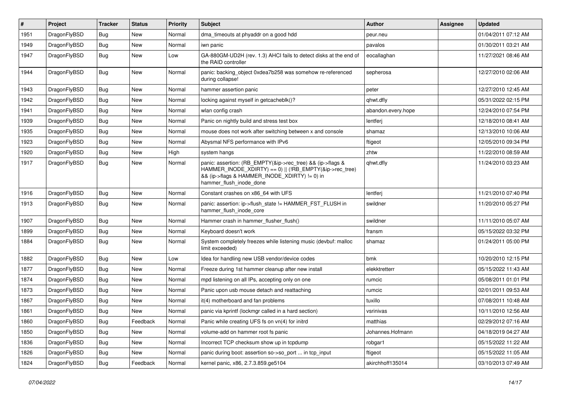| $\sharp$ | Project      | <b>Tracker</b> | <b>Status</b> | <b>Priority</b> | <b>Subject</b>                                                                                                                                                                                    | Author             | Assignee | <b>Updated</b>      |
|----------|--------------|----------------|---------------|-----------------|---------------------------------------------------------------------------------------------------------------------------------------------------------------------------------------------------|--------------------|----------|---------------------|
| 1951     | DragonFlyBSD | <b>Bug</b>     | <b>New</b>    | Normal          | dma_timeouts at phyaddr on a good hdd                                                                                                                                                             | peur.neu           |          | 01/04/2011 07:12 AM |
| 1949     | DragonFlyBSD | <b>Bug</b>     | <b>New</b>    | Normal          | iwn panic                                                                                                                                                                                         | pavalos            |          | 01/30/2011 03:21 AM |
| 1947     | DragonFlyBSD | <b>Bug</b>     | New           | Low             | GA-880GM-UD2H (rev. 1.3) AHCI fails to detect disks at the end of<br>the RAID controller                                                                                                          | eocallaghan        |          | 11/27/2021 08:46 AM |
| 1944     | DragonFlyBSD | <b>Bug</b>     | <b>New</b>    | Normal          | panic: backing object 0xdea7b258 was somehow re-referenced<br>during collapse!                                                                                                                    | sepherosa          |          | 12/27/2010 02:06 AM |
| 1943     | DragonFlyBSD | <b>Bug</b>     | <b>New</b>    | Normal          | hammer assertion panic                                                                                                                                                                            | peter              |          | 12/27/2010 12:45 AM |
| 1942     | DragonFlyBSD | <b>Bug</b>     | New           | Normal          | locking against myself in getcacheblk()?                                                                                                                                                          | qhwt.dfly          |          | 05/31/2022 02:15 PM |
| 1941     | DragonFlyBSD | <b>Bug</b>     | New           | Normal          | wlan config crash                                                                                                                                                                                 | abandon.every.hope |          | 12/24/2010 07:54 PM |
| 1939     | DragonFlyBSD | Bug            | <b>New</b>    | Normal          | Panic on nightly build and stress test box                                                                                                                                                        | lentferj           |          | 12/18/2010 08:41 AM |
| 1935     | DragonFlyBSD | <b>Bug</b>     | <b>New</b>    | Normal          | mouse does not work after switching between x and console                                                                                                                                         | shamaz             |          | 12/13/2010 10:06 AM |
| 1923     | DragonFlyBSD | <b>Bug</b>     | <b>New</b>    | Normal          | Abysmal NFS performance with IPv6                                                                                                                                                                 | ftigeot            |          | 12/05/2010 09:34 PM |
| 1920     | DragonFlyBSD | <b>Bug</b>     | New           | High            | system hangs                                                                                                                                                                                      | zhtw               |          | 11/22/2010 08:59 AM |
| 1917     | DragonFlyBSD | <b>Bug</b>     | <b>New</b>    | Normal          | panic: assertion: (RB_EMPTY(&ip->rec_tree) && (ip->flags &<br>HAMMER_INODE_XDIRTY) == 0)    (!RB_EMPTY(&ip->rec_tree)<br>&& (ip->flags & HAMMER_INODE_XDIRTY) != 0) in<br>hammer_flush_inode_done | qhwt.dfly          |          | 11/24/2010 03:23 AM |
| 1916     | DragonFlyBSD | Bug            | <b>New</b>    | Normal          | Constant crashes on x86 64 with UFS                                                                                                                                                               | lentferj           |          | 11/21/2010 07:40 PM |
| 1913     | DragonFlyBSD | <b>Bug</b>     | <b>New</b>    | Normal          | panic: assertion: ip->flush_state != HAMMER_FST_FLUSH in<br>hammer_flush_inode_core                                                                                                               | swildner           |          | 11/20/2010 05:27 PM |
| 1907     | DragonFlyBSD | Bug            | <b>New</b>    | Normal          | Hammer crash in hammer_flusher_flush()                                                                                                                                                            | swildner           |          | 11/11/2010 05:07 AM |
| 1899     | DragonFlyBSD | Bug            | <b>New</b>    | Normal          | Keyboard doesn't work                                                                                                                                                                             | fransm             |          | 05/15/2022 03:32 PM |
| 1884     | DragonFlyBSD | <b>Bug</b>     | New           | Normal          | System completely freezes while listening music (devbuf: malloc<br>limit exceeded)                                                                                                                | shamaz             |          | 01/24/2011 05:00 PM |
| 1882     | DragonFlyBSD | Bug            | <b>New</b>    | Low             | Idea for handling new USB vendor/device codes                                                                                                                                                     | bmk                |          | 10/20/2010 12:15 PM |
| 1877     | DragonFlyBSD | Bug            | <b>New</b>    | Normal          | Freeze during 1st hammer cleanup after new install                                                                                                                                                | elekktretterr      |          | 05/15/2022 11:43 AM |
| 1874     | DragonFlyBSD | <b>Bug</b>     | New           | Normal          | mpd listening on all IPs, accepting only on one                                                                                                                                                   | rumcic             |          | 05/08/2011 01:01 PM |
| 1873     | DragonFlyBSD | <b>Bug</b>     | New           | Normal          | Panic upon usb mouse detach and reattaching                                                                                                                                                       | rumcic             |          | 02/01/2011 09:53 AM |
| 1867     | DragonFlyBSD | <b>Bug</b>     | <b>New</b>    | Normal          | it(4) motherboard and fan problems                                                                                                                                                                | tuxillo            |          | 07/08/2011 10:48 AM |
| 1861     | DragonFlyBSD | Bug            | New           | Normal          | panic via kprintf (lockmgr called in a hard section)                                                                                                                                              | vsrinivas          |          | 10/11/2010 12:56 AM |
| 1860     | DragonFlyBSD | Bug            | Feedback      | Normal          | Panic while creating UFS fs on vn(4) for initrd                                                                                                                                                   | matthias           |          | 02/29/2012 07:16 AM |
| 1850     | DragonFlyBSD | <b>Bug</b>     | New           | Normal          | volume-add on hammer root fs panic                                                                                                                                                                | Johannes.Hofmann   |          | 04/18/2019 04:27 AM |
| 1836     | DragonFlyBSD | <b>Bug</b>     | New           | Normal          | Incorrect TCP checksum show up in tcpdump                                                                                                                                                         | robgar1            |          | 05/15/2022 11:22 AM |
| 1826     | DragonFlyBSD | <b>Bug</b>     | New           | Normal          | panic during boot: assertion so->so_port  in tcp_input                                                                                                                                            | ftigeot            |          | 05/15/2022 11:05 AM |
| 1824     | DragonFlyBSD | <b>Bug</b>     | Feedback      | Normal          | kernel panic, x86, 2.7.3.859.ge5104                                                                                                                                                               | akirchhoff135014   |          | 03/10/2013 07:49 AM |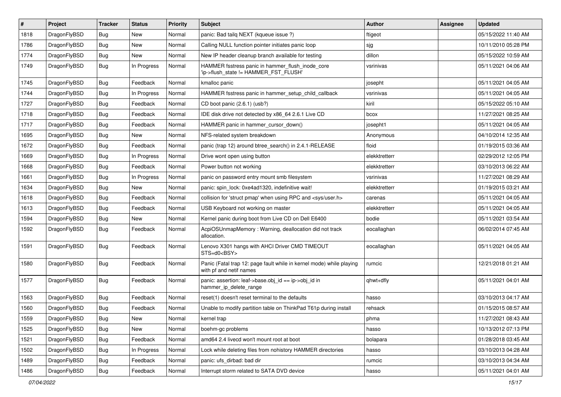| $\vert$ # | Project      | <b>Tracker</b> | <b>Status</b> | <b>Priority</b> | Subject                                                                                         | <b>Author</b> | Assignee | <b>Updated</b>      |
|-----------|--------------|----------------|---------------|-----------------|-------------------------------------------------------------------------------------------------|---------------|----------|---------------------|
| 1818      | DragonFlyBSD | <b>Bug</b>     | <b>New</b>    | Normal          | panic: Bad tailq NEXT (kqueue issue ?)                                                          | ftigeot       |          | 05/15/2022 11:40 AM |
| 1786      | DragonFlyBSD | <b>Bug</b>     | <b>New</b>    | Normal          | Calling NULL function pointer initiates panic loop                                              | sjg           |          | 10/11/2010 05:28 PM |
| 1774      | DragonFlyBSD | <b>Bug</b>     | New           | Normal          | New IP header cleanup branch available for testing                                              | dillon        |          | 05/15/2022 10:59 AM |
| 1749      | DragonFlyBSD | Bug            | In Progress   | Normal          | HAMMER fsstress panic in hammer_flush_inode_core<br>'ip->flush_state != HAMMER_FST_FLUSH'       | vsrinivas     |          | 05/11/2021 04:06 AM |
| 1745      | DragonFlyBSD | Bug            | Feedback      | Normal          | kmalloc panic                                                                                   | josepht       |          | 05/11/2021 04:05 AM |
| 1744      | DragonFlyBSD | Bug            | In Progress   | Normal          | HAMMER fsstress panic in hammer_setup_child_callback                                            | vsrinivas     |          | 05/11/2021 04:05 AM |
| 1727      | DragonFlyBSD | <b>Bug</b>     | Feedback      | Normal          | CD boot panic (2.6.1) (usb?)                                                                    | kiril         |          | 05/15/2022 05:10 AM |
| 1718      | DragonFlyBSD | Bug            | Feedback      | Normal          | IDE disk drive not detected by x86 64 2.6.1 Live CD                                             | bcox          |          | 11/27/2021 08:25 AM |
| 1717      | DragonFlyBSD | Bug            | Feedback      | Normal          | HAMMER panic in hammer_cursor_down()                                                            | josepht1      |          | 05/11/2021 04:05 AM |
| 1695      | DragonFlyBSD | <b>Bug</b>     | New           | Normal          | NFS-related system breakdown                                                                    | Anonymous     |          | 04/10/2014 12:35 AM |
| 1672      | DragonFlyBSD | Bug            | Feedback      | Normal          | panic (trap 12) around btree_search() in 2.4.1-RELEASE                                          | floid         |          | 01/19/2015 03:36 AM |
| 1669      | DragonFlyBSD | <b>Bug</b>     | In Progress   | Normal          | Drive wont open using button                                                                    | elekktretterr |          | 02/29/2012 12:05 PM |
| 1668      | DragonFlyBSD | Bug            | Feedback      | Normal          | Power button not working                                                                        | elekktretterr |          | 03/10/2013 06:22 AM |
| 1661      | DragonFlyBSD | <b>Bug</b>     | In Progress   | Normal          | panic on password entry mount smb filesystem                                                    | vsrinivas     |          | 11/27/2021 08:29 AM |
| 1634      | DragonFlyBSD | <b>Bug</b>     | <b>New</b>    | Normal          | panic: spin_lock: 0xe4ad1320, indefinitive wait!                                                | elekktretterr |          | 01/19/2015 03:21 AM |
| 1618      | DragonFlyBSD | Bug            | Feedback      | Normal          | collision for 'struct pmap' when using RPC and <sys user.h=""></sys>                            | carenas       |          | 05/11/2021 04:05 AM |
| 1613      | DragonFlyBSD | <b>Bug</b>     | Feedback      | Normal          | USB Keyboard not working on master                                                              | elekktretterr |          | 05/11/2021 04:05 AM |
| 1594      | DragonFlyBSD | <b>Bug</b>     | New           | Normal          | Kernel panic during boot from Live CD on Dell E6400                                             | bodie         |          | 05/11/2021 03:54 AM |
| 1592      | DragonFlyBSD | <b>Bug</b>     | Feedback      | Normal          | AcpiOSUnmapMemory: Warning, deallocation did not track<br>allocation.                           | eocallaghan   |          | 06/02/2014 07:45 AM |
| 1591      | DragonFlyBSD | Bug            | Feedback      | Normal          | Lenovo X301 hangs with AHCI Driver CMD TIMEOUT<br>STS=d0 <bsy></bsy>                            | eocallaghan   |          | 05/11/2021 04:05 AM |
| 1580      | DragonFlyBSD | <b>Bug</b>     | Feedback      | Normal          | Panic (Fatal trap 12: page fault while in kernel mode) while playing<br>with pf and netif names | rumcic        |          | 12/21/2018 01:21 AM |
| 1577      | DragonFlyBSD | <b>Bug</b>     | Feedback      | Normal          | panic: assertion: leaf->base.obj_id == ip->obj_id in<br>hammer_ip_delete_range                  | qhwt+dfly     |          | 05/11/2021 04:01 AM |
| 1563      | DragonFlyBSD | Bug            | Feedback      | Normal          | reset(1) doesn't reset terminal to the defaults                                                 | hasso         |          | 03/10/2013 04:17 AM |
| 1560      | DragonFlyBSD | <b>Bug</b>     | Feedback      | Normal          | Unable to modify partition table on ThinkPad T61p during install                                | rehsack       |          | 01/15/2015 08:57 AM |
| 1559      | DragonFlyBSD | <b>Bug</b>     | <b>New</b>    | Normal          | kernel trap                                                                                     | phma          |          | 11/27/2021 08:43 AM |
| 1525      | DragonFlyBSD | Bug            | New           | Normal          | boehm-gc problems                                                                               | hasso         |          | 10/13/2012 07:13 PM |
| 1521      | DragonFlyBSD | <b>Bug</b>     | Feedback      | Normal          | amd64 2.4 livecd won't mount root at boot                                                       | bolapara      |          | 01/28/2018 03:45 AM |
| 1502      | DragonFlyBSD | <b>Bug</b>     | In Progress   | Normal          | Lock while deleting files from nohistory HAMMER directories                                     | hasso         |          | 03/10/2013 04:28 AM |
| 1489      | DragonFlyBSD | <b>Bug</b>     | Feedback      | Normal          | panic: ufs_dirbad: bad dir                                                                      | rumcic        |          | 03/10/2013 04:34 AM |
| 1486      | DragonFlyBSD | <b>Bug</b>     | Feedback      | Normal          | Interrupt storm related to SATA DVD device                                                      | hasso         |          | 05/11/2021 04:01 AM |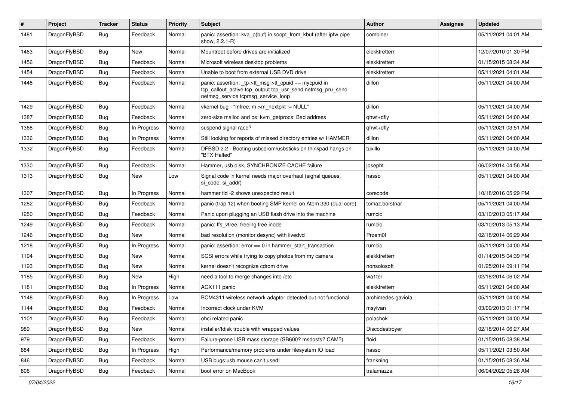| $\sharp$ | Project      | <b>Tracker</b> | <b>Status</b> | <b>Priority</b> | Subject                                                                                                                                                   | Author             | Assignee | <b>Updated</b>      |
|----------|--------------|----------------|---------------|-----------------|-----------------------------------------------------------------------------------------------------------------------------------------------------------|--------------------|----------|---------------------|
| 1481     | DragonFlyBSD | Bug            | Feedback      | Normal          | panic: assertion: kva_p(buf) in soopt_from_kbuf (after ipfw pipe<br>show, 2.2.1-R)                                                                        | combiner           |          | 05/11/2021 04:01 AM |
| 1463     | DragonFlyBSD | Bug            | New           | Normal          | Mountroot before drives are initialized                                                                                                                   | elekktretterr      |          | 12/07/2010 01:30 PM |
| 1456     | DragonFlyBSD | Bug            | Feedback      | Normal          | Microsoft wireless desktop problems                                                                                                                       | elekktretterr      |          | 01/15/2015 08:34 AM |
| 1454     | DragonFlyBSD | Bug            | Feedback      | Normal          | Unable to boot from external USB DVD drive                                                                                                                | elekktretterr      |          | 05/11/2021 04:01 AM |
| 1448     | DragonFlyBSD | Bug            | Feedback      | Normal          | panic: assertion: _tp->tt_msg->tt_cpuid == mycpuid in<br>tcp_callout_active tcp_output tcp_usr_send netmsg_pru_send<br>netmsg_service tcpmsg_service_loop | dillon             |          | 05/11/2021 04:00 AM |
| 1429     | DragonFlyBSD | Bug            | Feedback      | Normal          | vkernel bug - "mfree: m->m_nextpkt != NULL"                                                                                                               | dillon             |          | 05/11/2021 04:00 AM |
| 1387     | DragonFlyBSD | Bug            | Feedback      | Normal          | zero-size malloc and ps: kvm_getprocs: Bad address                                                                                                        | qhwt+dfly          |          | 05/11/2021 04:00 AM |
| 1368     | DragonFlyBSD | Bug            | In Progress   | Normal          | suspend signal race?                                                                                                                                      | qhwt+dfly          |          | 05/11/2021 03:51 AM |
| 1336     | DragonFlyBSD | <b>Bug</b>     | In Progress   | Normal          | Still looking for reports of missed directory entries w/ HAMMER                                                                                           | dillon             |          | 05/11/2021 04:00 AM |
| 1332     | DragonFlyBSD | Bug            | Feedback      | Normal          | DFBSD 2.2 - Booting usbcdrom/usbsticks on thinkpad hangs on<br>"BTX Halted"                                                                               | tuxillo            |          | 05/11/2021 04:00 AM |
| 1330     | DragonFlyBSD | Bug            | Feedback      | Normal          | Hammer, usb disk, SYNCHRONIZE CACHE failure                                                                                                               | josepht            |          | 06/02/2014 04:56 AM |
| 1313     | DragonFlyBSD | Bug            | New           | Low             | Signal code in kernel needs major overhaul (signal queues,<br>si code, si addr)                                                                           | hasso              |          | 05/11/2021 04:00 AM |
| 1307     | DragonFlyBSD | Bug            | In Progress   | Normal          | hammer tid -2 shows unexpected result                                                                                                                     | corecode           |          | 10/18/2016 05:29 PM |
| 1282     | DragonFlyBSD | Bug            | Feedback      | Normal          | panic (trap 12) when booting SMP kernel on Atom 330 (dual core)                                                                                           | tomaz.borstnar     |          | 05/11/2021 04:00 AM |
| 1250     | DragonFlyBSD | Bug            | Feedback      | Normal          | Panic upon plugging an USB flash drive into the machine                                                                                                   | rumcic             |          | 03/10/2013 05:17 AM |
| 1249     | DragonFlyBSD | Bug            | Feedback      | Normal          | panic: ffs vfree: freeing free inode                                                                                                                      | rumcic             |          | 03/10/2013 05:13 AM |
| 1246     | DragonFlyBSD | Bug            | New           | Normal          | bad resolution (monitor desync) with livedvd                                                                                                              | Przem0l            |          | 02/18/2014 06:29 AM |
| 1218     | DragonFlyBSD | Bug            | In Progress   | Normal          | panic: assertion: error == 0 in hammer_start_transaction                                                                                                  | rumcic             |          | 05/11/2021 04:00 AM |
| 1194     | DragonFlyBSD | Bug            | New           | Normal          | SCSI errors while trying to copy photos from my camera                                                                                                    | elekktretterr      |          | 01/14/2015 04:39 PM |
| 1193     | DragonFlyBSD | Bug            | New           | Normal          | kernel doesn't recognize cdrom drive                                                                                                                      | nonsolosoft        |          | 01/25/2014 09:11 PM |
| 1185     | DragonFlyBSD | Bug            | New           | High            | need a tool to merge changes into /etc                                                                                                                    | wa1ter             |          | 02/18/2014 06:02 AM |
| 1181     | DragonFlyBSD | Bug            | In Progress   | Normal          | ACX111 panic                                                                                                                                              | elekktretterr      |          | 05/11/2021 04:00 AM |
| 1148     | DragonFlyBSD | Bug            | In Progress   | Low             | BCM4311 wireless network adapter detected but not functional                                                                                              | archimedes.gaviola |          | 05/11/2021 04:00 AM |
| 1144     | DragonFlyBSD | Bug            | Feedback      | Normal          | Incorrect clock under KVM                                                                                                                                 | msylvan            |          | 03/09/2013 01:17 PM |
| 1101     | DragonFlyBSD | <b>Bug</b>     | Feedback      | Normal          | ohci related panic                                                                                                                                        | polachok           |          | 05/11/2021 04:00 AM |
| 989      | DragonFlyBSD | <b>Bug</b>     | New           | Normal          | installer/fdisk trouble with wrapped values                                                                                                               | Discodestroyer     |          | 02/18/2014 06:27 AM |
| 979      | DragonFlyBSD | <b>Bug</b>     | Feedback      | Normal          | Failure-prone USB mass storage (SB600? msdosfs? CAM?)                                                                                                     | floid              |          | 01/15/2015 08:38 AM |
| 884      | DragonFlyBSD | <b>Bug</b>     | In Progress   | High            | Performance/memory problems under filesystem IO load                                                                                                      | hasso              |          | 05/11/2021 03:50 AM |
| 846      | DragonFlyBSD | <b>Bug</b>     | Feedback      | Normal          | USB bugs:usb mouse can't used!                                                                                                                            | frankning          |          | 01/15/2015 08:36 AM |
| 806      | DragonFlyBSD | <b>Bug</b>     | Feedback      | Normal          | boot error on MacBook                                                                                                                                     | tralamazza         |          | 06/04/2022 05:28 AM |